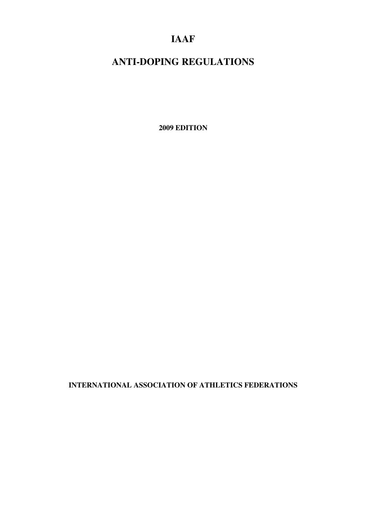# **IAAF**

# **ANTI-DOPING REGULATIONS**

**2009 EDITION** 

**INTERNATIONAL ASSOCIATION OF ATHLETICS FEDERATIONS**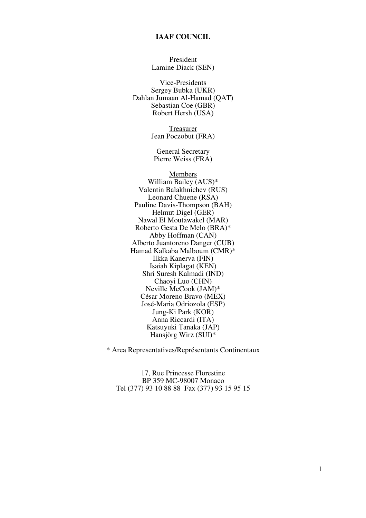#### **IAAF COUNCIL**

President Lamine Diack (SEN)

Vice-Presidents Sergey Bubka (UKR) Dahlan Jumaan Al-Hamad (QAT) Sebastian Coe (GBR) Robert Hersh (USA)

> **Treasurer** Jean Poczobut (FRA)

General Secretary Pierre Weiss (FRA)

Members William Bailey (AUS)\* Valentin Balakhnichev (RUS) Leonard Chuene (RSA) Pauline Davis-Thompson (BAH) Helmut Digel (GER) Nawal El Moutawakel (MAR) Roberto Gesta De Melo (BRA)\* Abby Hoffman (CAN) Alberto Juantoreno Danger (CUB) Hamad Kalkaba Malboum (CMR)\* Ilkka Kanerva (FIN) Isaiah Kiplagat (KEN) Shri Suresh Kalmadi (IND) Chaoyi Luo (CHN) Neville McCook (JAM)\* César Moreno Bravo (MEX) José-Maria Odriozola (ESP) Jung-Ki Park (KOR) Anna Riccardi (ITA) Katsuyuki Tanaka (JAP) Hansjörg Wirz (SUI)\*

\* Area Representatives/Représentants Continentaux

17, Rue Princesse Florestine BP 359 MC-98007 Monaco Tel (377) 93 10 88 88 Fax (377) 93 15 95 15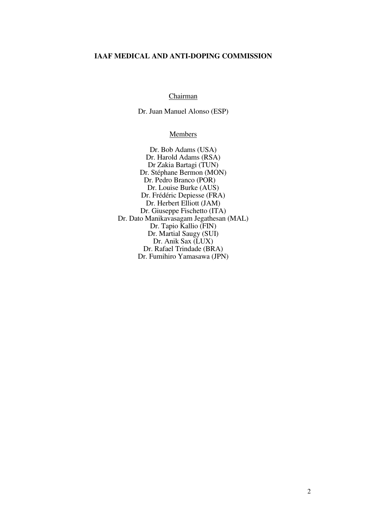#### **IAAF MEDICAL AND ANTI-DOPING COMMISSION**

#### Chairman

Dr. Juan Manuel Alonso (ESP)

#### **Members**

Dr. Bob Adams (USA) Dr. Harold Adams (RSA) Dr Zakia Bartagi (TUN) Dr. Stéphane Bermon (MON) Dr. Pedro Branco (POR) Dr. Louise Burke (AUS) Dr. Frédéric Depiesse (FRA) Dr. Herbert Elliott (JAM) Dr. Giuseppe Fischetto (ITA) Dr. Dato Manikavasagam Jegathesan (MAL) Dr. Tapio Kallio (FIN) Dr. Martial Saugy (SUI) Dr. Anik Sax (LUX) Dr. Rafael Trindade (BRA) Dr. Fumihiro Yamasawa (JPN)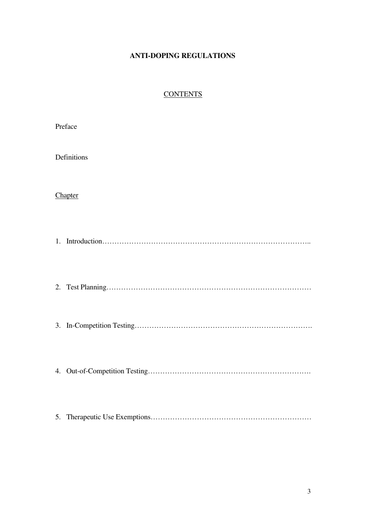# **ANTI-DOPING REGULATIONS**

# **CONTENTS**

| Preface |             |  |
|---------|-------------|--|
|         | Definitions |  |
|         | Chapter     |  |
|         |             |  |
|         |             |  |
|         |             |  |
|         |             |  |
| 5.      |             |  |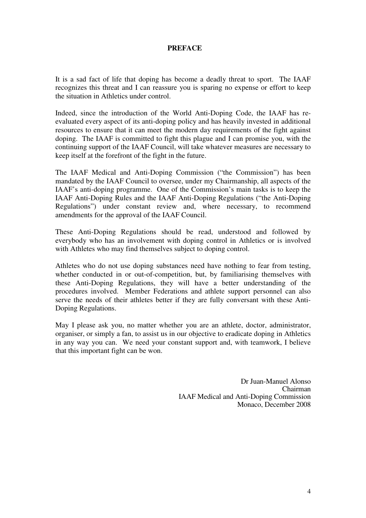# **PREFACE**

It is a sad fact of life that doping has become a deadly threat to sport. The IAAF recognizes this threat and I can reassure you is sparing no expense or effort to keep the situation in Athletics under control.

Indeed, since the introduction of the World Anti-Doping Code, the IAAF has reevaluated every aspect of its anti-doping policy and has heavily invested in additional resources to ensure that it can meet the modern day requirements of the fight against doping. The IAAF is committed to fight this plague and I can promise you, with the continuing support of the IAAF Council, will take whatever measures are necessary to keep itself at the forefront of the fight in the future.

The IAAF Medical and Anti-Doping Commission ("the Commission") has been mandated by the IAAF Council to oversee, under my Chairmanship, all aspects of the IAAF's anti-doping programme. One of the Commission's main tasks is to keep the IAAF Anti-Doping Rules and the IAAF Anti-Doping Regulations ("the Anti-Doping Regulations") under constant review and, where necessary, to recommend amendments for the approval of the IAAF Council.

These Anti-Doping Regulations should be read, understood and followed by everybody who has an involvement with doping control in Athletics or is involved with Athletes who may find themselves subject to doping control.

Athletes who do not use doping substances need have nothing to fear from testing, whether conducted in or out-of-competition, but, by familiarising themselves with these Anti-Doping Regulations, they will have a better understanding of the procedures involved. Member Federations and athlete support personnel can also serve the needs of their athletes better if they are fully conversant with these Anti-Doping Regulations.

May I please ask you, no matter whether you are an athlete, doctor, administrator, organiser, or simply a fan, to assist us in our objective to eradicate doping in Athletics in any way you can. We need your constant support and, with teamwork, I believe that this important fight can be won.

> Dr Juan-Manuel Alonso Chairman IAAF Medical and Anti-Doping Commission Monaco, December 2008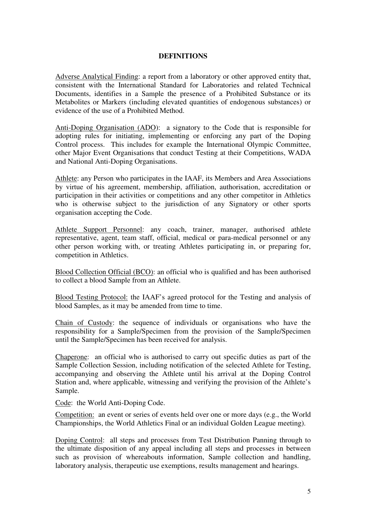# **DEFINITIONS**

Adverse Analytical Finding: a report from a laboratory or other approved entity that, consistent with the International Standard for Laboratories and related Technical Documents, identifies in a Sample the presence of a Prohibited Substance or its Metabolites or Markers (including elevated quantities of endogenous substances) or evidence of the use of a Prohibited Method.

Anti-Doping Organisation (ADO): a signatory to the Code that is responsible for adopting rules for initiating, implementing or enforcing any part of the Doping Control process. This includes for example the International Olympic Committee, other Major Event Organisations that conduct Testing at their Competitions, WADA and National Anti-Doping Organisations.

Athlete: any Person who participates in the IAAF, its Members and Area Associations by virtue of his agreement, membership, affiliation, authorisation, accreditation or participation in their activities or competitions and any other competitor in Athletics who is otherwise subject to the jurisdiction of any Signatory or other sports organisation accepting the Code.

Athlete Support Personnel: any coach, trainer, manager, authorised athlete representative, agent, team staff, official, medical or para-medical personnel or any other person working with, or treating Athletes participating in, or preparing for, competition in Athletics.

Blood Collection Official (BCO): an official who is qualified and has been authorised to collect a blood Sample from an Athlete.

Blood Testing Protocol: the IAAF's agreed protocol for the Testing and analysis of blood Samples, as it may be amended from time to time.

Chain of Custody: the sequence of individuals or organisations who have the responsibility for a Sample/Specimen from the provision of the Sample/Specimen until the Sample/Specimen has been received for analysis.

Chaperone: an official who is authorised to carry out specific duties as part of the Sample Collection Session, including notification of the selected Athlete for Testing, accompanying and observing the Athlete until his arrival at the Doping Control Station and, where applicable, witnessing and verifying the provision of the Athlete's Sample.

Code: the World Anti-Doping Code.

Competition: an event or series of events held over one or more days (e.g., the World Championships, the World Athletics Final or an individual Golden League meeting).

Doping Control: all steps and processes from Test Distribution Panning through to the ultimate disposition of any appeal including all steps and processes in between such as provision of whereabouts information, Sample collection and handling, laboratory analysis, therapeutic use exemptions, results management and hearings.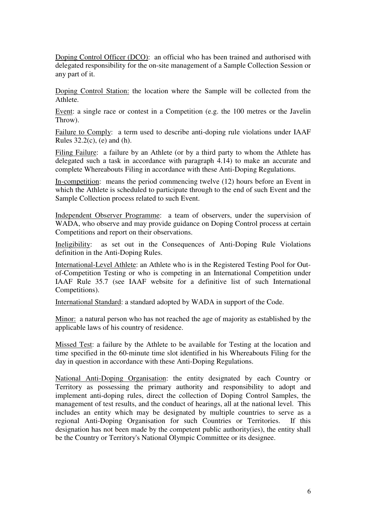Doping Control Officer (DCO): an official who has been trained and authorised with delegated responsibility for the on-site management of a Sample Collection Session or any part of it.

Doping Control Station: the location where the Sample will be collected from the Athlete.

Event: a single race or contest in a Competition (e.g. the 100 metres or the Javelin Throw).

Failure to Comply: a term used to describe anti-doping rule violations under IAAF Rules 32.2(c), (e) and (h).

Filing Failure: a failure by an Athlete (or by a third party to whom the Athlete has delegated such a task in accordance with paragraph 4.14) to make an accurate and complete Whereabouts Filing in accordance with these Anti-Doping Regulations.

In-competition: means the period commencing twelve (12) hours before an Event in which the Athlete is scheduled to participate through to the end of such Event and the Sample Collection process related to such Event.

Independent Observer Programme: a team of observers, under the supervision of WADA, who observe and may provide guidance on Doping Control process at certain Competitions and report on their observations.

Ineligibility: as set out in the Consequences of Anti-Doping Rule Violations definition in the Anti-Doping Rules.

International-Level Athlete: an Athlete who is in the Registered Testing Pool for Outof-Competition Testing or who is competing in an International Competition under IAAF Rule 35.7 (see IAAF website for a definitive list of such International Competitions).

International Standard: a standard adopted by WADA in support of the Code.

Minor: a natural person who has not reached the age of majority as established by the applicable laws of his country of residence.

Missed Test: a failure by the Athlete to be available for Testing at the location and time specified in the 60-minute time slot identified in his Whereabouts Filing for the day in question in accordance with these Anti-Doping Regulations.

National Anti-Doping Organisation: the entity designated by each Country or Territory as possessing the primary authority and responsibility to adopt and implement anti-doping rules, direct the collection of Doping Control Samples, the management of test results, and the conduct of hearings, all at the national level. This includes an entity which may be designated by multiple countries to serve as a regional Anti-Doping Organisation for such Countries or Territories. If this designation has not been made by the competent public authority(ies), the entity shall be the Country or Territory's National Olympic Committee or its designee.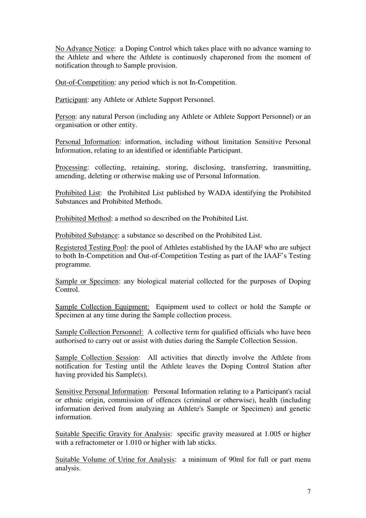No Advance Notice: a Doping Control which takes place with no advance warning to the Athlete and where the Athlete is continuosly chaperoned from the moment of notification through to Sample provision.

Out-of-Competition: any period which is not In-Competition.

Participant: any Athlete or Athlete Support Personnel.

Person: any natural Person (including any Athlete or Athlete Support Personnel) or an organisation or other entity.

Personal Information: information, including without limitation Sensitive Personal Information, relating to an identified or identifiable Participant.

Processing: collecting, retaining, storing, disclosing, transferring, transmitting, amending, deleting or otherwise making use of Personal Information.

Prohibited List: the Prohibited List published by WADA identifying the Prohibited Substances and Prohibited Methods.

Prohibited Method: a method so described on the Prohibited List.

Prohibited Substance: a substance so described on the Prohibited List.

Registered Testing Pool: the pool of Athletes established by the IAAF who are subject to both In-Competition and Out-of-Competition Testing as part of the IAAF's Testing programme.

Sample or Specimen: any biological material collected for the purposes of Doping Control.

Sample Collection Equipment: Equipment used to collect or hold the Sample or Specimen at any time during the Sample collection process.

Sample Collection Personnel: A collective term for qualified officials who have been authorised to carry out or assist with duties during the Sample Collection Session.

Sample Collection Session: All activities that directly involve the Athlete from notification for Testing until the Athlete leaves the Doping Control Station after having provided his Sample(s).

Sensitive Personal Information: Personal Information relating to a Participant's racial or ethnic origin, commission of offences (criminal or otherwise), health (including information derived from analyzing an Athlete's Sample or Specimen) and genetic information.

Suitable Specific Gravity for Analysis: specific gravity measured at 1.005 or higher with a refractometer or 1.010 or higher with lab sticks.

Suitable Volume of Urine for Analysis: a minimum of 90ml for full or part menu analysis.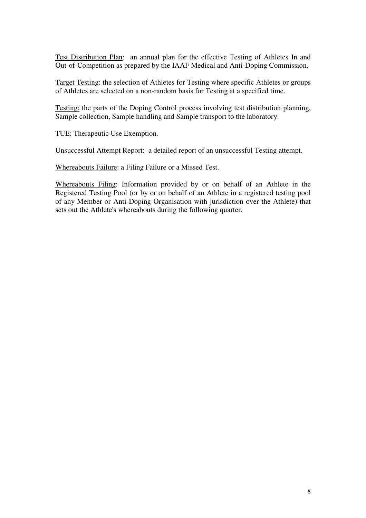Test Distribution Plan: an annual plan for the effective Testing of Athletes In and Out-of-Competition as prepared by the IAAF Medical and Anti-Doping Commission.

Target Testing: the selection of Athletes for Testing where specific Athletes or groups of Athletes are selected on a non-random basis for Testing at a specified time.

Testing: the parts of the Doping Control process involving test distribution planning, Sample collection, Sample handling and Sample transport to the laboratory.

TUE: Therapeutic Use Exemption.

Unsuccessful Attempt Report: a detailed report of an unsuccessful Testing attempt.

Whereabouts Failure: a Filing Failure or a Missed Test.

Whereabouts Filing: Information provided by or on behalf of an Athlete in the Registered Testing Pool (or by or on behalf of an Athlete in a registered testing pool of any Member or Anti-Doping Organisation with jurisdiction over the Athlete) that sets out the Athlete's whereabouts during the following quarter.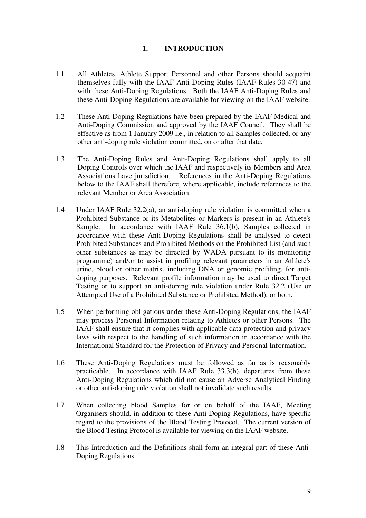# **1. INTRODUCTION**

- 1.1 All Athletes, Athlete Support Personnel and other Persons should acquaint themselves fully with the IAAF Anti-Doping Rules (IAAF Rules 30-47) and with these Anti-Doping Regulations. Both the IAAF Anti-Doping Rules and these Anti-Doping Regulations are available for viewing on the IAAF website.
- 1.2 These Anti-Doping Regulations have been prepared by the IAAF Medical and Anti-Doping Commission and approved by the IAAF Council. They shall be effective as from 1 January 2009 i.e., in relation to all Samples collected, or any other anti-doping rule violation committed, on or after that date.
- 1.3 The Anti-Doping Rules and Anti-Doping Regulations shall apply to all Doping Controls over which the IAAF and respectively its Members and Area Associations have jurisdiction. References in the Anti-Doping Regulations below to the IAAF shall therefore, where applicable, include references to the relevant Member or Area Association.
- 1.4 Under IAAF Rule 32.2(a), an anti-doping rule violation is committed when a Prohibited Substance or its Metabolites or Markers is present in an Athlete's Sample. In accordance with IAAF Rule 36.1(b), Samples collected in accordance with these Anti-Doping Regulations shall be analysed to detect Prohibited Substances and Prohibited Methods on the Prohibited List (and such other substances as may be directed by WADA pursuant to its monitoring programme) and/or to assist in profiling relevant parameters in an Athlete's urine, blood or other matrix, including DNA or genomic profiling, for antidoping purposes. Relevant profile information may be used to direct Target Testing or to support an anti-doping rule violation under Rule 32.2 (Use or Attempted Use of a Prohibited Substance or Prohibited Method), or both.
- 1.5 When performing obligations under these Anti-Doping Regulations, the IAAF may process Personal Information relating to Athletes or other Persons. The IAAF shall ensure that it complies with applicable data protection and privacy laws with respect to the handling of such information in accordance with the International Standard for the Protection of Privacy and Personal Information.
- 1.6 These Anti-Doping Regulations must be followed as far as is reasonably practicable. In accordance with IAAF Rule 33.3(b), departures from these Anti-Doping Regulations which did not cause an Adverse Analytical Finding or other anti-doping rule violation shall not invalidate such results.
- 1.7 When collecting blood Samples for or on behalf of the IAAF, Meeting Organisers should, in addition to these Anti-Doping Regulations, have specific regard to the provisions of the Blood Testing Protocol. The current version of the Blood Testing Protocol is available for viewing on the IAAF website.
- 1.8 This Introduction and the Definitions shall form an integral part of these Anti-Doping Regulations.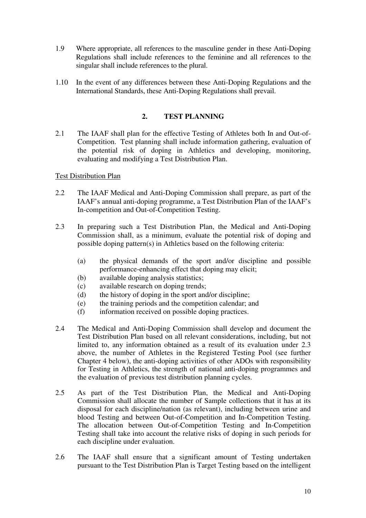- 1.9 Where appropriate, all references to the masculine gender in these Anti-Doping Regulations shall include references to the feminine and all references to the singular shall include references to the plural.
- 1.10 In the event of any differences between these Anti-Doping Regulations and the International Standards, these Anti-Doping Regulations shall prevail.

# **2. TEST PLANNING**

2.1 The IAAF shall plan for the effective Testing of Athletes both In and Out-of-Competition. Test planning shall include information gathering, evaluation of the potential risk of doping in Athletics and developing, monitoring, evaluating and modifying a Test Distribution Plan.

#### Test Distribution Plan

- 2.2 The IAAF Medical and Anti-Doping Commission shall prepare, as part of the IAAF's annual anti-doping programme, a Test Distribution Plan of the IAAF's In-competition and Out-of-Competition Testing.
- 2.3 In preparing such a Test Distribution Plan, the Medical and Anti-Doping Commission shall, as a minimum, evaluate the potential risk of doping and possible doping pattern(s) in Athletics based on the following criteria:
	- (a) the physical demands of the sport and/or discipline and possible performance-enhancing effect that doping may elicit;
	- (b) available doping analysis statistics;
	- (c) available research on doping trends;
	- (d) the history of doping in the sport and/or discipline;
	- (e) the training periods and the competition calendar; and
	- (f) information received on possible doping practices.
- 2.4 The Medical and Anti-Doping Commission shall develop and document the Test Distribution Plan based on all relevant considerations, including, but not limited to, any information obtained as a result of its evaluation under 2.3 above, the number of Athletes in the Registered Testing Pool (see further Chapter 4 below), the anti-doping activities of other ADOs with responsibility for Testing in Athletics, the strength of national anti-doping programmes and the evaluation of previous test distribution planning cycles.
- 2.5 As part of the Test Distribution Plan, the Medical and Anti-Doping Commission shall allocate the number of Sample collections that it has at its disposal for each discipline/nation (as relevant), including between urine and blood Testing and between Out-of-Competition and In-Competition Testing. The allocation between Out-of-Competition Testing and In-Competition Testing shall take into account the relative risks of doping in such periods for each discipline under evaluation.
- 2.6 The IAAF shall ensure that a significant amount of Testing undertaken pursuant to the Test Distribution Plan is Target Testing based on the intelligent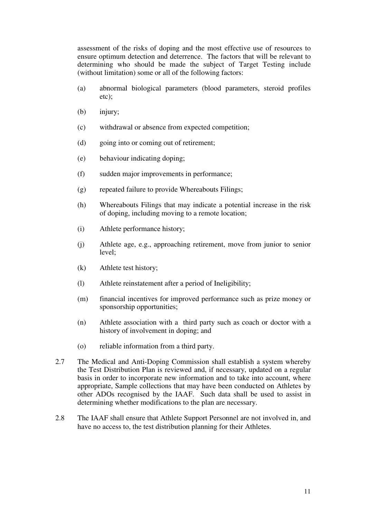assessment of the risks of doping and the most effective use of resources to ensure optimum detection and deterrence. The factors that will be relevant to determining who should be made the subject of Target Testing include (without limitation) some or all of the following factors:

- (a) abnormal biological parameters (blood parameters, steroid profiles etc);
- (b) injury;
- (c) withdrawal or absence from expected competition;
- (d) going into or coming out of retirement;
- (e) behaviour indicating doping;
- (f) sudden major improvements in performance;
- (g) repeated failure to provide Whereabouts Filings;
- (h) Whereabouts Filings that may indicate a potential increase in the risk of doping, including moving to a remote location;
- (i) Athlete performance history;
- (j) Athlete age, e.g., approaching retirement, move from junior to senior level;
- (k) Athlete test history;
- (l) Athlete reinstatement after a period of Ineligibility;
- (m) financial incentives for improved performance such as prize money or sponsorship opportunities;
- (n) Athlete association with a third party such as coach or doctor with a history of involvement in doping; and
- (o) reliable information from a third party.
- 2.7 The Medical and Anti-Doping Commission shall establish a system whereby the Test Distribution Plan is reviewed and, if necessary, updated on a regular basis in order to incorporate new information and to take into account, where appropriate, Sample collections that may have been conducted on Athletes by other ADOs recognised by the IAAF. Such data shall be used to assist in determining whether modifications to the plan are necessary.
- 2.8 The IAAF shall ensure that Athlete Support Personnel are not involved in, and have no access to, the test distribution planning for their Athletes.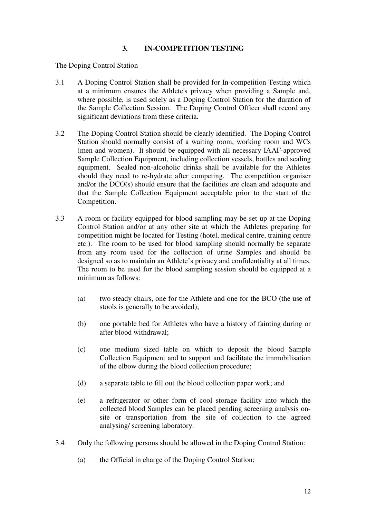# **3. IN-COMPETITION TESTING**

#### The Doping Control Station

- 3.1 A Doping Control Station shall be provided for In-competition Testing which at a minimum ensures the Athlete's privacy when providing a Sample and, where possible, is used solely as a Doping Control Station for the duration of the Sample Collection Session. The Doping Control Officer shall record any significant deviations from these criteria.
- 3.2 The Doping Control Station should be clearly identified. The Doping Control Station should normally consist of a waiting room, working room and WCs (men and women). It should be equipped with all necessary IAAF-approved Sample Collection Equipment, including collection vessels, bottles and sealing equipment. Sealed non-alcoholic drinks shall be available for the Athletes should they need to re-hydrate after competing. The competition organiser and/or the DCO(s) should ensure that the facilities are clean and adequate and that the Sample Collection Equipment acceptable prior to the start of the Competition.
- 3.3 A room or facility equipped for blood sampling may be set up at the Doping Control Station and/or at any other site at which the Athletes preparing for competition might be located for Testing (hotel, medical centre, training centre etc.). The room to be used for blood sampling should normally be separate from any room used for the collection of urine Samples and should be designed so as to maintain an Athlete's privacy and confidentiality at all times. The room to be used for the blood sampling session should be equipped at a minimum as follows:
	- (a) two steady chairs, one for the Athlete and one for the BCO (the use of stools is generally to be avoided);
	- (b) one portable bed for Athletes who have a history of fainting during or after blood withdrawal;
	- (c) one medium sized table on which to deposit the blood Sample Collection Equipment and to support and facilitate the immobilisation of the elbow during the blood collection procedure;
	- (d) a separate table to fill out the blood collection paper work; and
	- (e) a refrigerator or other form of cool storage facility into which the collected blood Samples can be placed pending screening analysis onsite or transportation from the site of collection to the agreed analysing/ screening laboratory.
- 3.4 Only the following persons should be allowed in the Doping Control Station:
	- (a) the Official in charge of the Doping Control Station;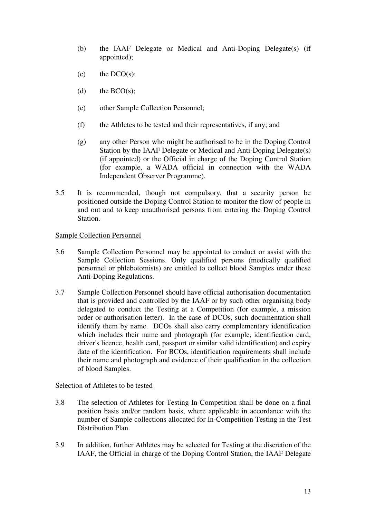- (b) the IAAF Delegate or Medical and Anti-Doping Delegate(s) (if appointed);
- $(c)$  the DCO(s);
- (d) the  $BCO(s)$ ;
- (e) other Sample Collection Personnel;
- (f) the Athletes to be tested and their representatives, if any; and
- (g) any other Person who might be authorised to be in the Doping Control Station by the IAAF Delegate or Medical and Anti-Doping Delegate(s) (if appointed) or the Official in charge of the Doping Control Station (for example, a WADA official in connection with the WADA Independent Observer Programme).
- 3.5 It is recommended, though not compulsory, that a security person be positioned outside the Doping Control Station to monitor the flow of people in and out and to keep unauthorised persons from entering the Doping Control Station.

# Sample Collection Personnel

- 3.6 Sample Collection Personnel may be appointed to conduct or assist with the Sample Collection Sessions. Only qualified persons (medically qualified personnel or phlebotomists) are entitled to collect blood Samples under these Anti-Doping Regulations.
- 3.7 Sample Collection Personnel should have official authorisation documentation that is provided and controlled by the IAAF or by such other organising body delegated to conduct the Testing at a Competition (for example, a mission order or authorisation letter). In the case of DCOs, such documentation shall identify them by name. DCOs shall also carry complementary identification which includes their name and photograph (for example, identification card, driver's licence, health card, passport or similar valid identification) and expiry date of the identification. For BCOs, identification requirements shall include their name and photograph and evidence of their qualification in the collection of blood Samples.

#### Selection of Athletes to be tested

- 3.8 The selection of Athletes for Testing In-Competition shall be done on a final position basis and/or random basis, where applicable in accordance with the number of Sample collections allocated for In-Competition Testing in the Test Distribution Plan.
- 3.9 In addition, further Athletes may be selected for Testing at the discretion of the IAAF, the Official in charge of the Doping Control Station, the IAAF Delegate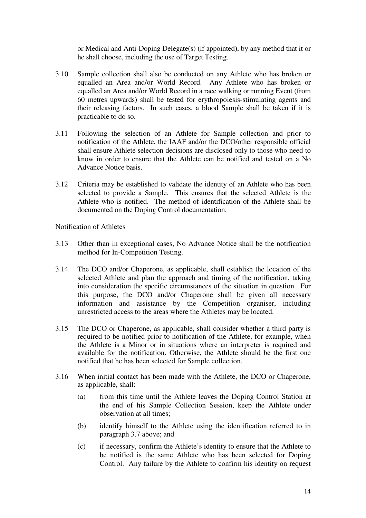or Medical and Anti-Doping Delegate(s) (if appointed), by any method that it or he shall choose, including the use of Target Testing.

- 3.10 Sample collection shall also be conducted on any Athlete who has broken or equalled an Area and/or World Record. Any Athlete who has broken or equalled an Area and/or World Record in a race walking or running Event (from 60 metres upwards) shall be tested for erythropoiesis-stimulating agents and their releasing factors. In such cases, a blood Sample shall be taken if it is practicable to do so.
- 3.11 Following the selection of an Athlete for Sample collection and prior to notification of the Athlete, the IAAF and/or the DCO/other responsible official shall ensure Athlete selection decisions are disclosed only to those who need to know in order to ensure that the Athlete can be notified and tested on a No Advance Notice basis.
- 3.12 Criteria may be established to validate the identity of an Athlete who has been selected to provide a Sample. This ensures that the selected Athlete is the Athlete who is notified. The method of identification of the Athlete shall be documented on the Doping Control documentation.

# Notification of Athletes

- 3.13 Other than in exceptional cases, No Advance Notice shall be the notification method for In-Competition Testing.
- 3.14 The DCO and/or Chaperone, as applicable, shall establish the location of the selected Athlete and plan the approach and timing of the notification, taking into consideration the specific circumstances of the situation in question. For this purpose, the DCO and/or Chaperone shall be given all necessary information and assistance by the Competition organiser, including unrestricted access to the areas where the Athletes may be located.
- 3.15 The DCO or Chaperone, as applicable, shall consider whether a third party is required to be notified prior to notification of the Athlete, for example, when the Athlete is a Minor or in situations where an interpreter is required and available for the notification. Otherwise, the Athlete should be the first one notified that he has been selected for Sample collection.
- 3.16 When initial contact has been made with the Athlete, the DCO or Chaperone, as applicable, shall:
	- (a) from this time until the Athlete leaves the Doping Control Station at the end of his Sample Collection Session, keep the Athlete under observation at all times;
	- (b) identify himself to the Athlete using the identification referred to in paragraph 3.7 above; and
	- (c) if necessary, confirm the Athlete's identity to ensure that the Athlete to be notified is the same Athlete who has been selected for Doping Control. Any failure by the Athlete to confirm his identity on request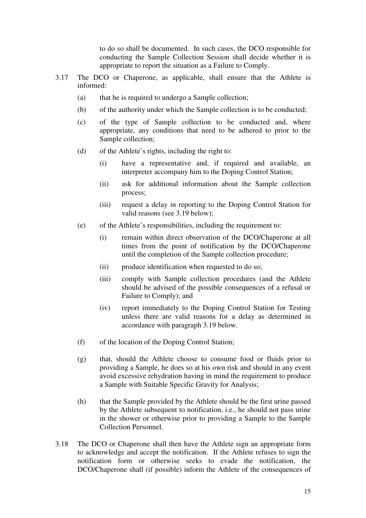to do so shall be documented. In such cases, the DCO responsible for conducting the Sample Collection Session shall decide whether it is appropriate to report the situation as a Failure to Comply.

- 3.17 The DCO or Chaperone, as applicable, shall ensure that the Athlete is informed:
	- (a) that he is required to undergo a Sample collection;
	- (b) of the authority under which the Sample collection is to be conducted;
	- (c) of the type of Sample collection to be conducted and, where appropriate, any conditions that need to be adhered to prior to the Sample collection;
	- (d) of the Athlete's rights, including the right to:
		- (i) have a representative and, if required and available, an interpreter accompany him to the Doping Control Station;
		- (ii) ask for additional information about the Sample collection process;
		- (iii) request a delay in reporting to the Doping Control Station for valid reasons (see 3.19 below);
	- (e) of the Athlete's responsibilities, including the requirement to:
		- (i) remain within direct observation of the DCO/Chaperone at all times from the point of notification by the DCO/Chaperone until the completion of the Sample collection procedure;
		- (ii) produce identification when requested to do so;
		- (iii) comply with Sample collection procedures (and the Athlete should be advised of the possible consequences of a refusal or Failure to Comply); and
		- (iv) report immediately to the Doping Control Station for Testing unless there are valid reasons for a delay as determined in accordance with paragraph 3.19 below.
	- (f) of the location of the Doping Control Station;
	- (g) that, should the Athlete choose to consume food or fluids prior to providing a Sample, he does so at his own risk and should in any event avoid excessive rehydration having in mind the requirement to produce a Sample with Suitable Specific Gravity for Analysis;
	- (h) that the Sample provided by the Athlete should be the first urine passed by the Athlete subsequent to notification, i.e., he should not pass urine in the shower or otherwise prior to providing a Sample to the Sample Collection Personnel.
- 3.18 The DCO or Chaperone shall then have the Athlete sign an appropriate form to acknowledge and accept the notification. If the Athlete refuses to sign the notification form or otherwise seeks to evade the notification, the DCO/Chaperone shall (if possible) inform the Athlete of the consequences of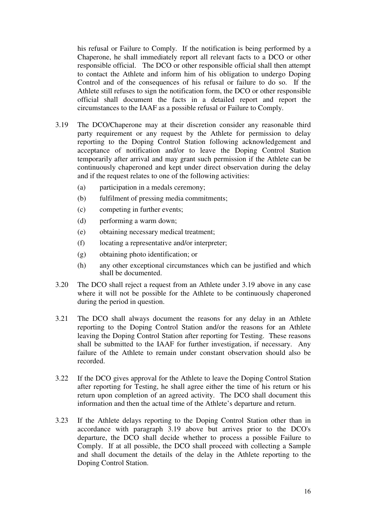his refusal or Failure to Comply. If the notification is being performed by a Chaperone, he shall immediately report all relevant facts to a DCO or other responsible official. The DCO or other responsible official shall then attempt to contact the Athlete and inform him of his obligation to undergo Doping Control and of the consequences of his refusal or failure to do so. If the Athlete still refuses to sign the notification form, the DCO or other responsible official shall document the facts in a detailed report and report the circumstances to the IAAF as a possible refusal or Failure to Comply.

- 3.19 The DCO/Chaperone may at their discretion consider any reasonable third party requirement or any request by the Athlete for permission to delay reporting to the Doping Control Station following acknowledgement and acceptance of notification and/or to leave the Doping Control Station temporarily after arrival and may grant such permission if the Athlete can be continuously chaperoned and kept under direct observation during the delay and if the request relates to one of the following activities:
	- (a) participation in a medals ceremony;
	- (b) fulfilment of pressing media commitments;
	- (c) competing in further events;
	- (d) performing a warm down;
	- (e) obtaining necessary medical treatment;
	- (f) locating a representative and/or interpreter;
	- (g) obtaining photo identification; or
	- (h) any other exceptional circumstances which can be justified and which shall be documented.
- 3.20 The DCO shall reject a request from an Athlete under 3.19 above in any case where it will not be possible for the Athlete to be continuously chaperoned during the period in question.
- 3.21 The DCO shall always document the reasons for any delay in an Athlete reporting to the Doping Control Station and/or the reasons for an Athlete leaving the Doping Control Station after reporting for Testing. These reasons shall be submitted to the IAAF for further investigation, if necessary. Any failure of the Athlete to remain under constant observation should also be recorded.
- 3.22 If the DCO gives approval for the Athlete to leave the Doping Control Station after reporting for Testing, he shall agree either the time of his return or his return upon completion of an agreed activity. The DCO shall document this information and then the actual time of the Athlete's departure and return.
- 3.23 If the Athlete delays reporting to the Doping Control Station other than in accordance with paragraph 3.19 above but arrives prior to the DCO's departure, the DCO shall decide whether to process a possible Failure to Comply. If at all possible, the DCO shall proceed with collecting a Sample and shall document the details of the delay in the Athlete reporting to the Doping Control Station.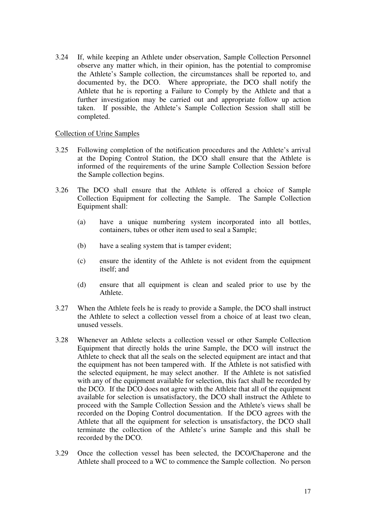3.24 If, while keeping an Athlete under observation, Sample Collection Personnel observe any matter which, in their opinion, has the potential to compromise the Athlete's Sample collection, the circumstances shall be reported to, and documented by, the DCO. Where appropriate, the DCO shall notify the Athlete that he is reporting a Failure to Comply by the Athlete and that a further investigation may be carried out and appropriate follow up action taken. If possible, the Athlete's Sample Collection Session shall still be completed.

#### Collection of Urine Samples

- 3.25 Following completion of the notification procedures and the Athlete's arrival at the Doping Control Station, the DCO shall ensure that the Athlete is informed of the requirements of the urine Sample Collection Session before the Sample collection begins.
- 3.26 The DCO shall ensure that the Athlete is offered a choice of Sample Collection Equipment for collecting the Sample. The Sample Collection Equipment shall:
	- (a) have a unique numbering system incorporated into all bottles, containers, tubes or other item used to seal a Sample;
	- (b) have a sealing system that is tamper evident;
	- (c) ensure the identity of the Athlete is not evident from the equipment itself; and
	- (d) ensure that all equipment is clean and sealed prior to use by the Athlete.
- 3.27 When the Athlete feels he is ready to provide a Sample, the DCO shall instruct the Athlete to select a collection vessel from a choice of at least two clean, unused vessels.
- 3.28 Whenever an Athlete selects a collection vessel or other Sample Collection Equipment that directly holds the urine Sample, the DCO will instruct the Athlete to check that all the seals on the selected equipment are intact and that the equipment has not been tampered with. If the Athlete is not satisfied with the selected equipment, he may select another. If the Athlete is not satisfied with any of the equipment available for selection, this fact shall be recorded by the DCO. If the DCO does not agree with the Athlete that all of the equipment available for selection is unsatisfactory, the DCO shall instruct the Athlete to proceed with the Sample Collection Session and the Athlete's views shall be recorded on the Doping Control documentation. If the DCO agrees with the Athlete that all the equipment for selection is unsatisfactory, the DCO shall terminate the collection of the Athlete's urine Sample and this shall be recorded by the DCO.
- 3.29 Once the collection vessel has been selected, the DCO/Chaperone and the Athlete shall proceed to a WC to commence the Sample collection. No person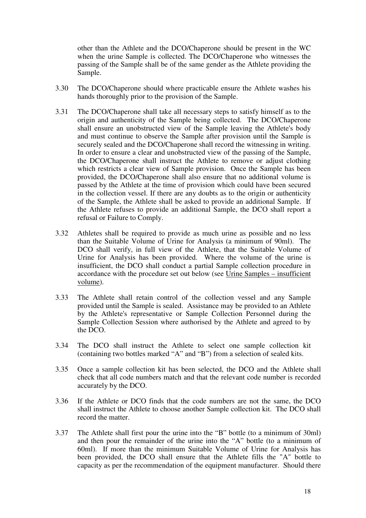other than the Athlete and the DCO/Chaperone should be present in the WC when the urine Sample is collected. The DCO/Chaperone who witnesses the passing of the Sample shall be of the same gender as the Athlete providing the Sample.

- 3.30 The DCO/Chaperone should where practicable ensure the Athlete washes his hands thoroughly prior to the provision of the Sample.
- 3.31 The DCO/Chaperone shall take all necessary steps to satisfy himself as to the origin and authenticity of the Sample being collected. The DCO/Chaperone shall ensure an unobstructed view of the Sample leaving the Athlete's body and must continue to observe the Sample after provision until the Sample is securely sealed and the DCO/Chaperone shall record the witnessing in writing. In order to ensure a clear and unobstructed view of the passing of the Sample, the DCO/Chaperone shall instruct the Athlete to remove or adjust clothing which restricts a clear view of Sample provision. Once the Sample has been provided, the DCO/Chaperone shall also ensure that no additional volume is passed by the Athlete at the time of provision which could have been secured in the collection vessel. If there are any doubts as to the origin or authenticity of the Sample, the Athlete shall be asked to provide an additional Sample. If the Athlete refuses to provide an additional Sample, the DCO shall report a refusal or Failure to Comply.
- 3.32 Athletes shall be required to provide as much urine as possible and no less than the Suitable Volume of Urine for Analysis (a minimum of 90ml). The DCO shall verify, in full view of the Athlete, that the Suitable Volume of Urine for Analysis has been provided. Where the volume of the urine is insufficient, the DCO shall conduct a partial Sample collection procedure in accordance with the procedure set out below (see Urine Samples – insufficient volume).
- 3.33 The Athlete shall retain control of the collection vessel and any Sample provided until the Sample is sealed. Assistance may be provided to an Athlete by the Athlete's representative or Sample Collection Personnel during the Sample Collection Session where authorised by the Athlete and agreed to by the DCO.
- 3.34 The DCO shall instruct the Athlete to select one sample collection kit (containing two bottles marked "A" and "B") from a selection of sealed kits.
- 3.35 Once a sample collection kit has been selected, the DCO and the Athlete shall check that all code numbers match and that the relevant code number is recorded accurately by the DCO.
- 3.36 If the Athlete or DCO finds that the code numbers are not the same, the DCO shall instruct the Athlete to choose another Sample collection kit. The DCO shall record the matter.
- 3.37 The Athlete shall first pour the urine into the "B" bottle (to a minimum of 30ml) and then pour the remainder of the urine into the "A" bottle (to a minimum of 60ml). If more than the minimum Suitable Volume of Urine for Analysis has been provided, the DCO shall ensure that the Athlete fills the "A" bottle to capacity as per the recommendation of the equipment manufacturer. Should there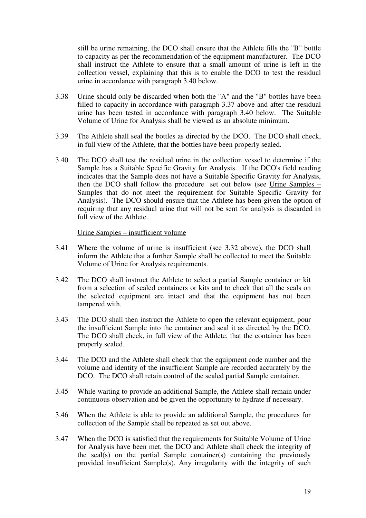still be urine remaining, the DCO shall ensure that the Athlete fills the "B" bottle to capacity as per the recommendation of the equipment manufacturer. The DCO shall instruct the Athlete to ensure that a small amount of urine is left in the collection vessel, explaining that this is to enable the DCO to test the residual urine in accordance with paragraph 3.40 below.

- 3.38 Urine should only be discarded when both the "A" and the "B" bottles have been filled to capacity in accordance with paragraph 3.37 above and after the residual urine has been tested in accordance with paragraph 3.40 below. The Suitable Volume of Urine for Analysis shall be viewed as an absolute minimum.
- 3.39 The Athlete shall seal the bottles as directed by the DCO. The DCO shall check, in full view of the Athlete, that the bottles have been properly sealed.
- 3.40 The DCO shall test the residual urine in the collection vessel to determine if the Sample has a Suitable Specific Gravity for Analysis. If the DCO's field reading indicates that the Sample does not have a Suitable Specific Gravity for Analysis, then the DCO shall follow the procedure set out below (see Urine Samples – Samples that do not meet the requirement for Suitable Specific Gravity for Analysis). The DCO should ensure that the Athlete has been given the option of requiring that any residual urine that will not be sent for analysis is discarded in full view of the Athlete.

#### Urine Samples – insufficient volume

- 3.41 Where the volume of urine is insufficient (see 3.32 above), the DCO shall inform the Athlete that a further Sample shall be collected to meet the Suitable Volume of Urine for Analysis requirements.
- 3.42 The DCO shall instruct the Athlete to select a partial Sample container or kit from a selection of sealed containers or kits and to check that all the seals on the selected equipment are intact and that the equipment has not been tampered with.
- 3.43 The DCO shall then instruct the Athlete to open the relevant equipment, pour the insufficient Sample into the container and seal it as directed by the DCO. The DCO shall check, in full view of the Athlete, that the container has been properly sealed.
- 3.44 The DCO and the Athlete shall check that the equipment code number and the volume and identity of the insufficient Sample are recorded accurately by the DCO. The DCO shall retain control of the sealed partial Sample container.
- 3.45 While waiting to provide an additional Sample, the Athlete shall remain under continuous observation and be given the opportunity to hydrate if necessary.
- 3.46 When the Athlete is able to provide an additional Sample, the procedures for collection of the Sample shall be repeated as set out above.
- 3.47 When the DCO is satisfied that the requirements for Suitable Volume of Urine for Analysis have been met, the DCO and Athlete shall check the integrity of the seal(s) on the partial Sample container(s) containing the previously provided insufficient Sample(s). Any irregularity with the integrity of such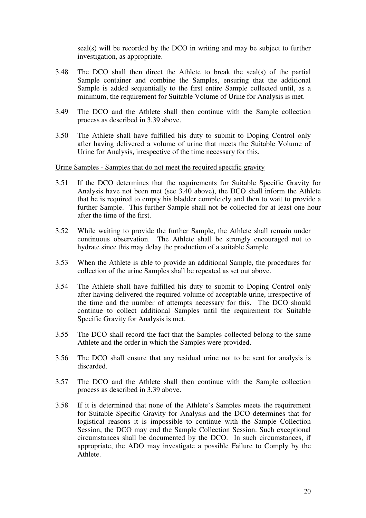seal(s) will be recorded by the DCO in writing and may be subject to further investigation, as appropriate.

- 3.48 The DCO shall then direct the Athlete to break the seal(s) of the partial Sample container and combine the Samples, ensuring that the additional Sample is added sequentially to the first entire Sample collected until, as a minimum, the requirement for Suitable Volume of Urine for Analysis is met.
- 3.49 The DCO and the Athlete shall then continue with the Sample collection process as described in 3.39 above.
- 3.50 The Athlete shall have fulfilled his duty to submit to Doping Control only after having delivered a volume of urine that meets the Suitable Volume of Urine for Analysis, irrespective of the time necessary for this.

#### Urine Samples - Samples that do not meet the required specific gravity

- 3.51 If the DCO determines that the requirements for Suitable Specific Gravity for Analysis have not been met (see 3.40 above), the DCO shall inform the Athlete that he is required to empty his bladder completely and then to wait to provide a further Sample. This further Sample shall not be collected for at least one hour after the time of the first.
- 3.52 While waiting to provide the further Sample, the Athlete shall remain under continuous observation. The Athlete shall be strongly encouraged not to hydrate since this may delay the production of a suitable Sample.
- 3.53 When the Athlete is able to provide an additional Sample, the procedures for collection of the urine Samples shall be repeated as set out above.
- 3.54 The Athlete shall have fulfilled his duty to submit to Doping Control only after having delivered the required volume of acceptable urine, irrespective of the time and the number of attempts necessary for this. The DCO should continue to collect additional Samples until the requirement for Suitable Specific Gravity for Analysis is met.
- 3.55 The DCO shall record the fact that the Samples collected belong to the same Athlete and the order in which the Samples were provided.
- 3.56 The DCO shall ensure that any residual urine not to be sent for analysis is discarded.
- 3.57 The DCO and the Athlete shall then continue with the Sample collection process as described in 3.39 above.
- 3.58 If it is determined that none of the Athlete's Samples meets the requirement for Suitable Specific Gravity for Analysis and the DCO determines that for logistical reasons it is impossible to continue with the Sample Collection Session, the DCO may end the Sample Collection Session. Such exceptional circumstances shall be documented by the DCO. In such circumstances, if appropriate, the ADO may investigate a possible Failure to Comply by the Athlete.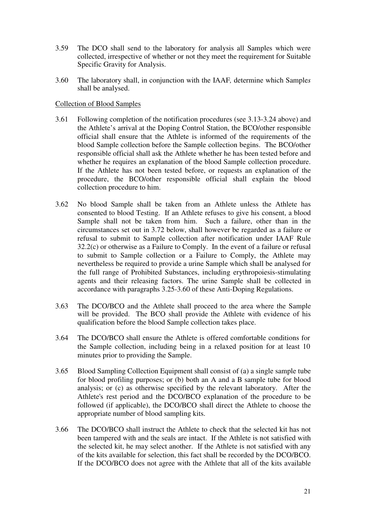- 3.59 The DCO shall send to the laboratory for analysis all Samples which were collected, irrespective of whether or not they meet the requirement for Suitable Specific Gravity for Analysis.
- 3.60 The laboratory shall, in conjunction with the IAAF*,* determine which Sample*s* shall be analysed.

### Collection of Blood Samples

- 3.61 Following completion of the notification procedures (see 3.13-3.24 above) and the Athlete's arrival at the Doping Control Station, the BCO/other responsible official shall ensure that the Athlete is informed of the requirements of the blood Sample collection before the Sample collection begins. The BCO/other responsible official shall ask the Athlete whether he has been tested before and whether he requires an explanation of the blood Sample collection procedure. If the Athlete has not been tested before, or requests an explanation of the procedure, the BCO/other responsible official shall explain the blood collection procedure to him.
- 3.62 No blood Sample shall be taken from an Athlete unless the Athlete has consented to blood Testing. If an Athlete refuses to give his consent, a blood Sample shall not be taken from him. Such a failure, other than in the circumstances set out in 3.72 below, shall however be regarded as a failure or refusal to submit to Sample collection after notification under IAAF Rule 32.2(c) or otherwise as a Failure to Comply. In the event of a failure or refusal to submit to Sample collection or a Failure to Comply, the Athlete may nevertheless be required to provide a urine Sample which shall be analysed for the full range of Prohibited Substances, including erythropoiesis-stimulating agents and their releasing factors. The urine Sample shall be collected in accordance with paragraphs 3.25-3.60 of these Anti-Doping Regulations.
- 3.63 The DCO/BCO and the Athlete shall proceed to the area where the Sample will be provided. The BCO shall provide the Athlete with evidence of his qualification before the blood Sample collection takes place.
- 3.64 The DCO/BCO shall ensure the Athlete is offered comfortable conditions for the Sample collection, including being in a relaxed position for at least 10 minutes prior to providing the Sample.
- 3.65 Blood Sampling Collection Equipment shall consist of (a) a single sample tube for blood profiling purposes; or (b) both an A and a B sample tube for blood analysis; or (c) as otherwise specified by the relevant laboratory. After the Athlete's rest period and the DCO/BCO explanation of the procedure to be followed (if applicable), the DCO/BCO shall direct the Athlete to choose the appropriate number of blood sampling kits.
- 3.66 The DCO/BCO shall instruct the Athlete to check that the selected kit has not been tampered with and the seals are intact. If the Athlete is not satisfied with the selected kit, he may select another. If the Athlete is not satisfied with any of the kits available for selection, this fact shall be recorded by the DCO/BCO. If the DCO/BCO does not agree with the Athlete that all of the kits available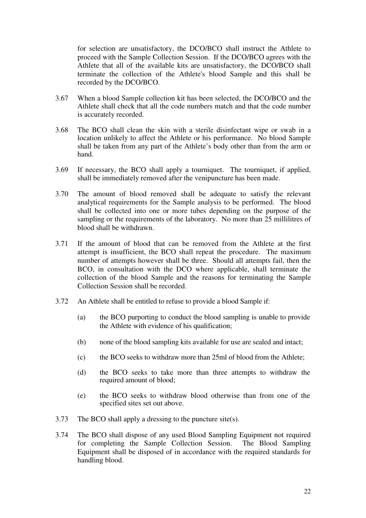for selection are unsatisfactory, the DCO/BCO shall instruct the Athlete to proceed with the Sample Collection Session. If the DCO/BCO agrees with the Athlete that all of the available kits are unsatisfactory, the DCO/BCO shall terminate the collection of the Athlete's blood Sample and this shall be recorded by the DCO/BCO.

- 3.67 When a blood Sample collection kit has been selected, the DCO/BCO and the Athlete shall check that all the code numbers match and that the code number is accurately recorded.
- 3.68 The BCO shall clean the skin with a sterile disinfectant wipe or swab in a location unlikely to affect the Athlete or his performance. No blood Sample shall be taken from any part of the Athlete's body other than from the arm or hand.
- 3.69 If necessary, the BCO shall apply a tourniquet. The tourniquet, if applied, shall be immediately removed after the venipuncture has been made.
- 3.70 The amount of blood removed shall be adequate to satisfy the relevant analytical requirements for the Sample analysis to be performed. The blood shall be collected into one or more tubes depending on the purpose of the sampling or the requirements of the laboratory. No more than 25 millilitres of blood shall be withdrawn.
- 3.71 If the amount of blood that can be removed from the Athlete at the first attempt is insufficient, the BCO shall repeat the procedure. The maximum number of attempts however shall be three. Should all attempts fail, then the BCO, in consultation with the DCO where applicable, shall terminate the collection of the blood Sample and the reasons for terminating the Sample Collection Session shall be recorded.
- 3.72 An Athlete shall be entitled to refuse to provide a blood Sample if:
	- (a) the BCO purporting to conduct the blood sampling is unable to provide the Athlete with evidence of his qualification;
	- (b) none of the blood sampling kits available for use are sealed and intact;
	- (c) the BCO seeks to withdraw more than 25ml of blood from the Athlete;
	- (d) the BCO seeks to take more than three attempts to withdraw the required amount of blood;
	- (e) the BCO seeks to withdraw blood otherwise than from one of the specified sites set out above.
- 3.73 The BCO shall apply a dressing to the puncture site(s).
- 3.74 The BCO shall dispose of any used Blood Sampling Equipment not required for completing the Sample Collection Session. The Blood Sampling Equipment shall be disposed of in accordance with the required standards for handling blood.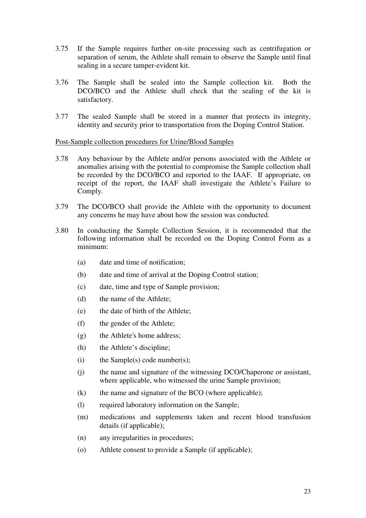- 3.75 If the Sample requires further on-site processing such as centrifugation or separation of serum, the Athlete shall remain to observe the Sample until final sealing in a secure tamper-evident kit.
- 3.76 The Sample shall be sealed into the Sample collection kit. Both the DCO/BCO and the Athlete shall check that the sealing of the kit is satisfactory.
- 3.77 The sealed Sample shall be stored in a manner that protects its integrity, identity and security prior to transportation from the Doping Control Station.

#### Post-Sample collection procedures for Urine/Blood Samples

- 3.78 Any behaviour by the Athlete and/or persons associated with the Athlete or anomalies arising with the potential to compromise the Sample collection shall be recorded by the DCO/BCO and reported to the IAAF. If appropriate, on receipt of the report, the IAAF shall investigate the Athlete's Failure to Comply.
- 3.79 The DCO/BCO shall provide the Athlete with the opportunity to document any concerns he may have about how the session was conducted.
- 3.80 In conducting the Sample Collection Session, it is recommended that the following information shall be recorded on the Doping Control Form as a minimum:
	- (a) date and time of notification;
	- (b) date and time of arrival at the Doping Control station;
	- (c) date, time and type of Sample provision;
	- (d) the name of the Athlete;
	- (e) the date of birth of the Athlete;
	- (f) the gender of the Athlete;
	- (g) the Athlete's home address;
	- (h) the Athlete's discipline;
	- (i) the Sample(s) code number(s);
	- (j) the name and signature of the witnessing DCO/Chaperone or assistant, where applicable, who witnessed the urine Sample provision;
	- (k) the name and signature of the BCO (where applicable);
	- (l) required laboratory information on the Sample;
	- (m) medications and supplements taken and recent blood transfusion details (if applicable);
	- (n) any irregularities in procedures;
	- (o) Athlete consent to provide a Sample (if applicable);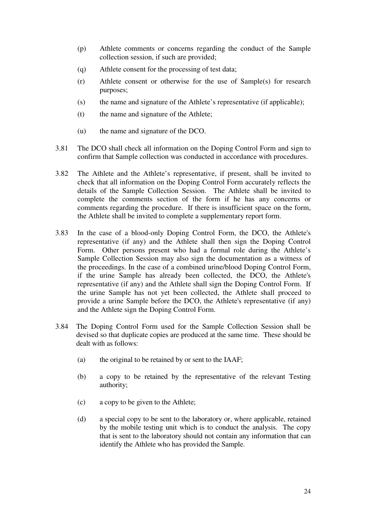- (p) Athlete comments or concerns regarding the conduct of the Sample collection session, if such are provided;
- (q) Athlete consent for the processing of test data;
- (r) Athlete consent or otherwise for the use of Sample(s) for research purposes;
- (s) the name and signature of the Athlete's representative (if applicable);
- (t) the name and signature of the Athlete;
- (u) the name and signature of the DCO.
- 3.81 The DCO shall check all information on the Doping Control Form and sign to confirm that Sample collection was conducted in accordance with procedures.
- 3.82 The Athlete and the Athlete's representative, if present, shall be invited to check that all information on the Doping Control Form accurately reflects the details of the Sample Collection Session. The Athlete shall be invited to complete the comments section of the form if he has any concerns or comments regarding the procedure. If there is insufficient space on the form, the Athlete shall be invited to complete a supplementary report form.
- 3.83 In the case of a blood-only Doping Control Form, the DCO, the Athlete's representative (if any) and the Athlete shall then sign the Doping Control Form. Other persons present who had a formal role during the Athlete's Sample Collection Session may also sign the documentation as a witness of the proceedings. In the case of a combined urine/blood Doping Control Form, if the urine Sample has already been collected, the DCO, the Athlete's representative (if any) and the Athlete shall sign the Doping Control Form. If the urine Sample has not yet been collected, the Athlete shall proceed to provide a urine Sample before the DCO, the Athlete's representative (if any) and the Athlete sign the Doping Control Form.
- 3.84 The Doping Control Form used for the Sample Collection Session shall be devised so that duplicate copies are produced at the same time. These should be dealt with as follows:
	- (a) the original to be retained by or sent to the IAAF;
	- (b) a copy to be retained by the representative of the relevant Testing authority;
	- (c) a copy to be given to the Athlete;
	- (d) a special copy to be sent to the laboratory or, where applicable, retained by the mobile testing unit which is to conduct the analysis. The copy that is sent to the laboratory should not contain any information that can identify the Athlete who has provided the Sample.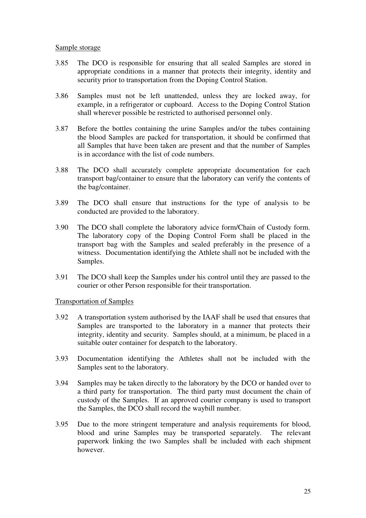#### Sample storage

- 3.85 The DCO is responsible for ensuring that all sealed Samples are stored in appropriate conditions in a manner that protects their integrity, identity and security prior to transportation from the Doping Control Station.
- 3.86 Samples must not be left unattended, unless they are locked away, for example, in a refrigerator or cupboard. Access to the Doping Control Station shall wherever possible be restricted to authorised personnel only.
- 3.87 Before the bottles containing the urine Samples and/or the tubes containing the blood Samples are packed for transportation, it should be confirmed that all Samples that have been taken are present and that the number of Samples is in accordance with the list of code numbers.
- 3.88 The DCO shall accurately complete appropriate documentation for each transport bag/container to ensure that the laboratory can verify the contents of the bag/container.
- 3.89 The DCO shall ensure that instructions for the type of analysis to be conducted are provided to the laboratory.
- 3.90 The DCO shall complete the laboratory advice form/Chain of Custody form. The laboratory copy of the Doping Control Form shall be placed in the transport bag with the Samples and sealed preferably in the presence of a witness. Documentation identifying the Athlete shall not be included with the Samples.
- 3.91 The DCO shall keep the Samples under his control until they are passed to the courier or other Person responsible for their transportation.

#### Transportation of Samples

- 3.92 A transportation system authorised by the IAAF shall be used that ensures that Samples are transported to the laboratory in a manner that protects their integrity, identity and security. Samples should, at a minimum, be placed in a suitable outer container for despatch to the laboratory.
- 3.93 Documentation identifying the Athletes shall not be included with the Samples sent to the laboratory.
- 3.94 Samples may be taken directly to the laboratory by the DCO or handed over to a third party for transportation. The third party must document the chain of custody of the Samples. If an approved courier company is used to transport the Samples, the DCO shall record the waybill number.
- 3.95 Due to the more stringent temperature and analysis requirements for blood, blood and urine Samples may be transported separately. The relevant paperwork linking the two Samples shall be included with each shipment however.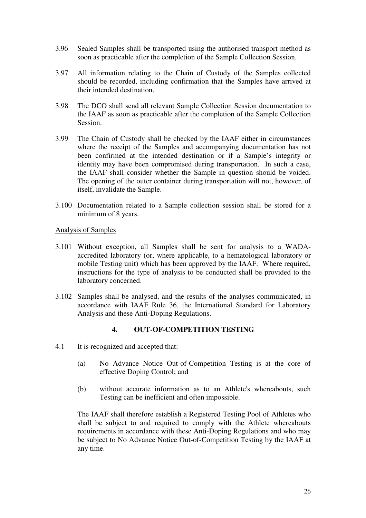- 3.96 Sealed Samples shall be transported using the authorised transport method as soon as practicable after the completion of the Sample Collection Session.
- 3.97 All information relating to the Chain of Custody of the Samples collected should be recorded, including confirmation that the Samples have arrived at their intended destination.
- 3.98 The DCO shall send all relevant Sample Collection Session documentation to the IAAF as soon as practicable after the completion of the Sample Collection Session.
- 3.99 The Chain of Custody shall be checked by the IAAF either in circumstances where the receipt of the Samples and accompanying documentation has not been confirmed at the intended destination or if a Sample's integrity or identity may have been compromised during transportation. In such a case, the IAAF shall consider whether the Sample in question should be voided. The opening of the outer container during transportation will not, however, of itself, invalidate the Sample.
- 3.100 Documentation related to a Sample collection session shall be stored for a minimum of 8 years.

#### Analysis of Samples

- 3.101 Without exception, all Samples shall be sent for analysis to a WADAaccredited laboratory (or, where applicable, to a hematological laboratory or mobile Testing unit) which has been approved by the IAAF. Where required, instructions for the type of analysis to be conducted shall be provided to the laboratory concerned.
- 3.102 Samples shall be analysed, and the results of the analyses communicated, in accordance with IAAF Rule 36, the International Standard for Laboratory Analysis and these Anti-Doping Regulations.

#### **4. OUT-OF-COMPETITION TESTING**

- 4.1 It is recognized and accepted that:
	- (a) No Advance Notice Out-of-Competition Testing is at the core of effective Doping Control; and
	- (b) without accurate information as to an Athlete's whereabouts, such Testing can be inefficient and often impossible.

The IAAF shall therefore establish a Registered Testing Pool of Athletes who shall be subject to and required to comply with the Athlete whereabouts requirements in accordance with these Anti-Doping Regulations and who may be subject to No Advance Notice Out-of-Competition Testing by the IAAF at any time.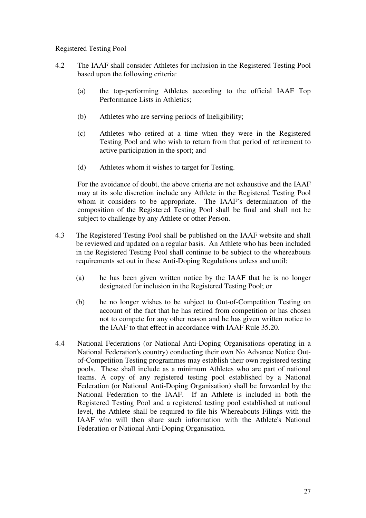# Registered Testing Pool

- 4.2 The IAAF shall consider Athletes for inclusion in the Registered Testing Pool based upon the following criteria:
	- (a) the top-performing Athletes according to the official IAAF Top Performance Lists in Athletics;
	- (b) Athletes who are serving periods of Ineligibility;
	- (c) Athletes who retired at a time when they were in the Registered Testing Pool and who wish to return from that period of retirement to active participation in the sport; and
	- (d) Athletes whom it wishes to target for Testing.

For the avoidance of doubt, the above criteria are not exhaustive and the IAAF may at its sole discretion include any Athlete in the Registered Testing Pool whom it considers to be appropriate. The IAAF's determination of the composition of the Registered Testing Pool shall be final and shall not be subject to challenge by any Athlete or other Person.

- 4.3 The Registered Testing Pool shall be published on the IAAF website and shall be reviewed and updated on a regular basis. An Athlete who has been included in the Registered Testing Pool shall continue to be subject to the whereabouts requirements set out in these Anti-Doping Regulations unless and until:
	- (a) he has been given written notice by the IAAF that he is no longer designated for inclusion in the Registered Testing Pool; or
	- (b) he no longer wishes to be subject to Out-of-Competition Testing on account of the fact that he has retired from competition or has chosen not to compete for any other reason and he has given written notice to the IAAF to that effect in accordance with IAAF Rule 35.20.
- 4.4 National Federations (or National Anti-Doping Organisations operating in a National Federation's country) conducting their own No Advance Notice Outof-Competition Testing programmes may establish their own registered testing pools. These shall include as a minimum Athletes who are part of national teams. A copy of any registered testing pool established by a National Federation (or National Anti-Doping Organisation) shall be forwarded by the National Federation to the IAAF. If an Athlete is included in both the Registered Testing Pool and a registered testing pool established at national level, the Athlete shall be required to file his Whereabouts Filings with the IAAF who will then share such information with the Athlete's National Federation or National Anti-Doping Organisation.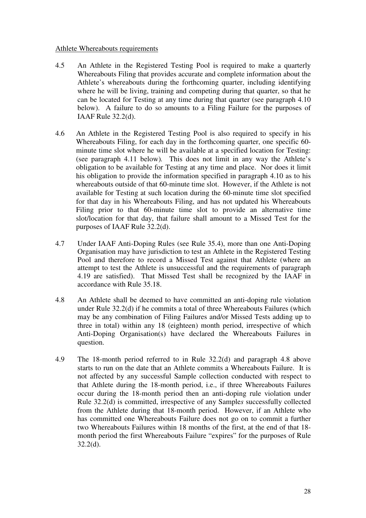#### Athlete Whereabouts requirements

- 4.5 An Athlete in the Registered Testing Pool is required to make a quarterly Whereabouts Filing that provides accurate and complete information about the Athlete's whereabouts during the forthcoming quarter, including identifying where he will be living, training and competing during that quarter, so that he can be located for Testing at any time during that quarter (see paragraph 4.10 below). A failure to do so amounts to a Filing Failure for the purposes of IAAF Rule 32.2(d).
- 4.6 An Athlete in the Registered Testing Pool is also required to specify in his Whereabouts Filing, for each day in the forthcoming quarter, one specific 60 minute time slot where he will be available at a specified location for Testing: (see paragraph 4.11 below)*.* This does not limit in any way the Athlete's obligation to be available for Testing at any time and place. Nor does it limit his obligation to provide the information specified in paragraph 4.10 as to his whereabouts outside of that 60-minute time slot. However, if the Athlete is not available for Testing at such location during the 60-minute time slot specified for that day in his Whereabouts Filing, and has not updated his Whereabouts Filing prior to that 60-minute time slot to provide an alternative time slot/location for that day, that failure shall amount to a Missed Test for the purposes of IAAF Rule 32.2(d).
- 4.7 Under IAAF Anti-Doping Rules (see Rule 35.4), more than one Anti-Doping Organisation may have jurisdiction to test an Athlete in the Registered Testing Pool and therefore to record a Missed Test against that Athlete (where an attempt to test the Athlete is unsuccessful and the requirements of paragraph 4.19 are satisfied).That Missed Test shall be recognized by the IAAF in accordance with Rule 35.18.
- 4.8 An Athlete shall be deemed to have committed an anti-doping rule violation under Rule 32.2(d) if he commits a total of three Whereabouts Failures (which may be any combination of Filing Failures and/or Missed Tests adding up to three in total) within any 18 (eighteen) month period, irrespective of which Anti-Doping Organisation(s) have declared the Whereabouts Failures in question.
- 4.9 The 18-month period referred to in Rule 32.2(d) and paragraph 4.8 above starts to run on the date that an Athlete commits a Whereabouts Failure. It is not affected by any successful Sample collection conducted with respect to that Athlete during the 18-month period, i.e., if three Whereabouts Failures occur during the 18-month period then an anti-doping rule violation under Rule 32.2(d) is committed, irrespective of any Sample*s* successfully collected from the Athlete during that 18-month period. However, if an Athlete who has committed one Whereabouts Failure does not go on to commit a further two Whereabouts Failures within 18 months of the first, at the end of that 18 month period the first Whereabouts Failure "expires" for the purposes of Rule  $32.2(d)$ .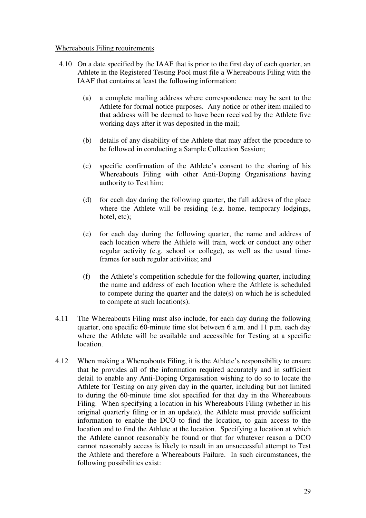#### Whereabouts Filing requirements

- 4.10 On a date specified by the IAAF that is prior to the first day of each quarter, an Athlete in the Registered Testing Pool must file a Whereabouts Filing with the IAAF that contains at least the following information:
	- (a) a complete mailing address where correspondence may be sent to the Athlete for formal notice purposes. Any notice or other item mailed to that address will be deemed to have been received by the Athlete five working days after it was deposited in the mail;
	- (b) details of any disability of the Athlete that may affect the procedure to be followed in conducting a Sample Collection Session;
	- (c) specific confirmation of the Athlete's consent to the sharing of his Whereabouts Filing with other Anti-Doping Organisation*s* having authority to Test him;
	- (d) for each day during the following quarter, the full address of the place where the Athlete will be residing (e.g. home, temporary lodgings, hotel, etc);
	- (e) for each day during the following quarter, the name and address of each location where the Athlete will train, work or conduct any other regular activity (e.g. school or college), as well as the usual timeframes for such regular activities; and
	- (f) the Athlete's competition schedule for the following quarter, including the name and address of each location where the Athlete is scheduled to compete during the quarter and the date(s) on which he is scheduled to compete at such location(s).
- 4.11 The Whereabouts Filing must also include, for each day during the following quarter, one specific 60-minute time slot between 6 a.m. and 11 p.m. each day where the Athlete will be available and accessible for Testing at a specific location.
- 4.12 When making a Whereabouts Filing, it is the Athlete's responsibility to ensure that he provides all of the information required accurately and in sufficient detail to enable any Anti-Doping Organisation wishing to do so to locate the Athlete for Testing on any given day in the quarter, including but not limited to during the 60-minute time slot specified for that day in the Whereabouts Filing. When specifying a location in his Whereabouts Filing (whether in his original quarterly filing or in an update), the Athlete must provide sufficient information to enable the DCO to find the location, to gain access to the location and to find the Athlete at the location. Specifying a location at which the Athlete cannot reasonably be found or that for whatever reason a DCO cannot reasonably access is likely to result in an unsuccessful attempt to Test the Athlete and therefore a Whereabouts Failure. In such circumstances, the following possibilities exist: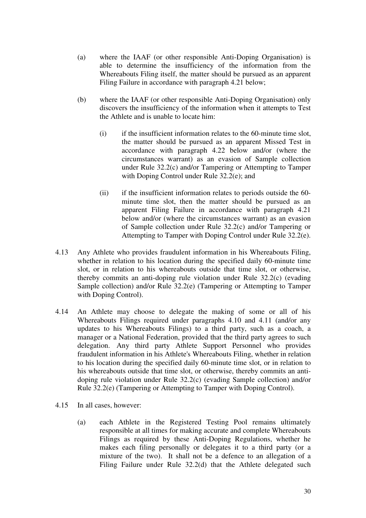- (a) where the IAAF (or other responsible Anti-Doping Organisation) is able to determine the insufficiency of the information from the Whereabouts Filing itself, the matter should be pursued as an apparent Filing Failure in accordance with paragraph 4.21 below;
- (b) where the IAAF (or other responsible Anti-Doping Organisation) only discovers the insufficiency of the information when it attempts to Test the Athlete and is unable to locate him:
	- $(i)$  if the insufficient information relates to the 60-minute time slot, the matter should be pursued as an apparent Missed Test in accordance with paragraph 4.22 below and/or (where the circumstances warrant) as an evasion of Sample collection under Rule 32.2(c) and/or Tampering or Attempting to Tamper with Doping Control under Rule 32.2(e); and
	- (ii) if the insufficient information relates to periods outside the 60 minute time slot, then the matter should be pursued as an apparent Filing Failure in accordance with paragraph 4.21 below and/or (where the circumstances warrant) as an evasion of Sample collection under Rule 32.2(c) and/or Tampering or Attempting to Tamper with Doping Control under Rule 32.2(e).
- 4.13 Any Athlete who provides fraudulent information in his Whereabouts Filing, whether in relation to his location during the specified daily 60-minute time slot, or in relation to his whereabouts outside that time slot, or otherwise, thereby commits an anti-doping rule violation under Rule 32.2(c) (evading Sample collection) and/or Rule 32.2(e) (Tampering or Attempting to Tamper with Doping Control).
- 4.14 An Athlete may choose to delegate the making of some or all of his Whereabouts Filings required under paragraphs 4.10 and 4.11 (and/or any updates to his Whereabouts Filings) to a third party, such as a coach, a manager or a National Federation, provided that the third party agrees to such delegation. Any third party Athlete Support Personnel who provides fraudulent information in his Athlete's Whereabouts Filing, whether in relation to his location during the specified daily 60-minute time slot, or in relation to his whereabouts outside that time slot, or otherwise, thereby commits an antidoping rule violation under Rule 32.2(c) (evading Sample collection) and/or Rule 32.2(e) (Tampering or Attempting to Tamper with Doping Control).
- 4.15 In all cases, however:
	- (a) each Athlete in the Registered Testing Pool remains ultimately responsible at all times for making accurate and complete Whereabouts Filings as required by these Anti-Doping Regulations, whether he makes each filing personally or delegates it to a third party (or a mixture of the two). It shall not be a defence to an allegation of a Filing Failure under Rule 32.2(d) that the Athlete delegated such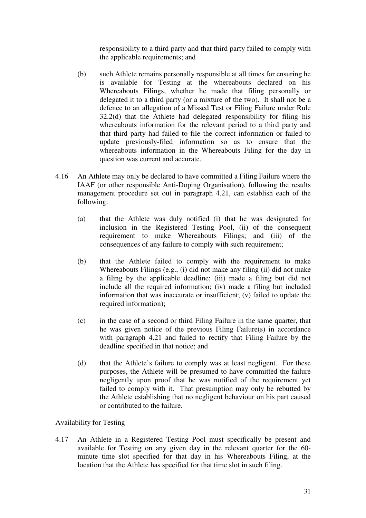responsibility to a third party and that third party failed to comply with the applicable requirements; and

- (b) such Athlete remains personally responsible at all times for ensuring he is available for Testing at the whereabouts declared on his Whereabouts Filings, whether he made that filing personally or delegated it to a third party (or a mixture of the two). It shall not be a defence to an allegation of a Missed Test or Filing Failure under Rule 32.2(d) that the Athlete had delegated responsibility for filing his whereabouts information for the relevant period to a third party and that third party had failed to file the correct information or failed to update previously-filed information so as to ensure that the whereabouts information in the Whereabouts Filing for the day in question was current and accurate.
- 4.16 An Athlete may only be declared to have committed a Filing Failure where the IAAF (or other responsible Anti-Doping Organisation), following the results management procedure set out in paragraph 4.21, can establish each of the following:
	- (a) that the Athlete was duly notified (i) that he was designated for inclusion in the Registered Testing Pool, (ii) of the consequent requirement to make Whereabouts Filings; and (iii) of the consequences of any failure to comply with such requirement;
	- (b) that the Athlete failed to comply with the requirement to make Whereabouts Filings (e.g., (i) did not make any filing (ii) did not make a filing by the applicable deadline; (iii) made a filing but did not include all the required information; (iv) made a filing but included information that was inaccurate or insufficient; (v) failed to update the required information);
	- (c) in the case of a second or third Filing Failure in the same quarter, that he was given notice of the previous Filing Failure(s) in accordance with paragraph 4.21 and failed to rectify that Filing Failure by the deadline specified in that notice; and
	- (d) that the Athlete's failure to comply was at least negligent. For these purposes, the Athlete will be presumed to have committed the failure negligently upon proof that he was notified of the requirement yet failed to comply with it. That presumption may only be rebutted by the Athlete establishing that no negligent behaviour on his part caused or contributed to the failure.

#### Availability for Testing

4.17 An Athlete in a Registered Testing Pool must specifically be present and available for Testing on any given day in the relevant quarter for the 60 minute time slot specified for that day in his Whereabouts Filing, at the location that the Athlete has specified for that time slot in such filing.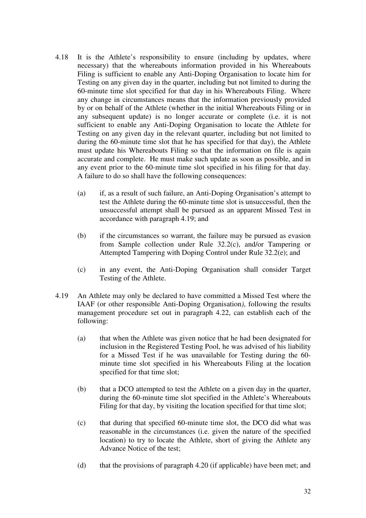- 4.18 It is the Athlete's responsibility to ensure (including by updates, where necessary) that the whereabouts information provided in his Whereabouts Filing is sufficient to enable any Anti-Doping Organisation to locate him for Testing on any given day in the quarter, including but not limited to during the 60-minute time slot specified for that day in his Whereabouts Filing. Where any change in circumstances means that the information previously provided by or on behalf of the Athlete (whether in the initial Whereabouts Filing or in any subsequent update) is no longer accurate or complete (i.e. it is not sufficient to enable any Anti-Doping Organisation to locate the Athlete for Testing on any given day in the relevant quarter, including but not limited to during the 60-minute time slot that he has specified for that day), the Athlete must update his Whereabouts Filing so that the information on file is again accurate and complete. He must make such update as soon as possible, and in any event prior to the 60-minute time slot specified in his filing for that day. A failure to do so shall have the following consequences:
	- (a) if, as a result of such failure, an Anti-Doping Organisation's attempt to test the Athlete during the 60-minute time slot is unsuccessful, then the unsuccessful attempt shall be pursued as an apparent Missed Test in accordance with paragraph 4.19; and
	- (b) if the circumstances so warrant, the failure may be pursued as evasion from Sample collection under Rule 32.2(c), and/or Tampering or Attempted Tampering with Doping Control under Rule 32.2(e); and
	- (c) in any event, the Anti-Doping Organisation shall consider Target Testing of the Athlete.
- 4.19 An Athlete may only be declared to have committed a Missed Test where the IAAF (or other responsible Anti-Doping Organisation*)*, following the results management procedure set out in paragraph 4.22, can establish each of the following:
	- (a) that when the Athlete was given notice that he had been designated for inclusion in the Registered Testing Pool, he was advised of his liability for a Missed Test if he was unavailable for Testing during the 60 minute time slot specified in his Whereabouts Filing at the location specified for that time slot;
	- (b) that a DCO attempted to test the Athlete on a given day in the quarter, during the 60-minute time slot specified in the Athlete's Whereabouts Filing for that day, by visiting the location specified for that time slot;
	- (c) that during that specified 60-minute time slot, the DCO did what was reasonable in the circumstances (i.e. given the nature of the specified location) to try to locate the Athlete, short of giving the Athlete any Advance Notice of the test;
	- (d) that the provisions of paragraph 4.20 (if applicable) have been met; and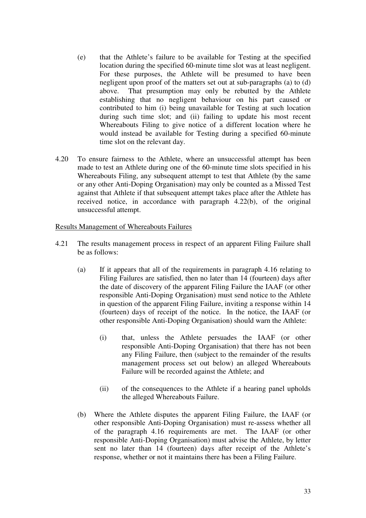- (e) that the Athlete's failure to be available for Testing at the specified location during the specified 60-minute time slot was at least negligent. For these purposes, the Athlete will be presumed to have been negligent upon proof of the matters set out at sub-paragraphs (a) to (d) above. That presumption may only be rebutted by the Athlete establishing that no negligent behaviour on his part caused or contributed to him (i) being unavailable for Testing at such location during such time slot; and (ii) failing to update his most recent Whereabouts Filing to give notice of a different location where he would instead be available for Testing during a specified 60-minute time slot on the relevant day.
- 4.20 To ensure fairness to the Athlete, where an unsuccessful attempt has been made to test an Athlete during one of the 60-minute time slots specified in his Whereabouts Filing, any subsequent attempt to test that Athlete (by the same or any other Anti-Doping Organisation) may only be counted as a Missed Test against that Athlete if that subsequent attempt takes place after the Athlete has received notice, in accordance with paragraph 4.22(b), of the original unsuccessful attempt.

#### Results Management of Whereabouts Failures

- 4.21 The results management process in respect of an apparent Filing Failure shall be as follows:
	- (a) If it appears that all of the requirements in paragraph 4.16 relating to Filing Failures are satisfied, then no later than 14 (fourteen) days after the date of discovery of the apparent Filing Failure the IAAF (or other responsible Anti-Doping Organisation) must send notice to the Athlete in question of the apparent Filing Failure, inviting a response within 14 (fourteen) days of receipt of the notice. In the notice, the IAAF (or other responsible Anti-Doping Organisation) should warn the Athlete:
		- (i) that, unless the Athlete persuades the IAAF (or other responsible Anti-Doping Organisation) that there has not been any Filing Failure, then (subject to the remainder of the results management process set out below) an alleged Whereabouts Failure will be recorded against the Athlete; and
		- (ii) of the consequences to the Athlete if a hearing panel upholds the alleged Whereabouts Failure.
	- (b) Where the Athlete disputes the apparent Filing Failure, the IAAF (or other responsible Anti-Doping Organisation) must re-assess whether all of the paragraph 4.16 requirements are met. The IAAF (or other responsible Anti-Doping Organisation) must advise the Athlete, by letter sent no later than 14 (fourteen) days after receipt of the Athlete's response, whether or not it maintains there has been a Filing Failure.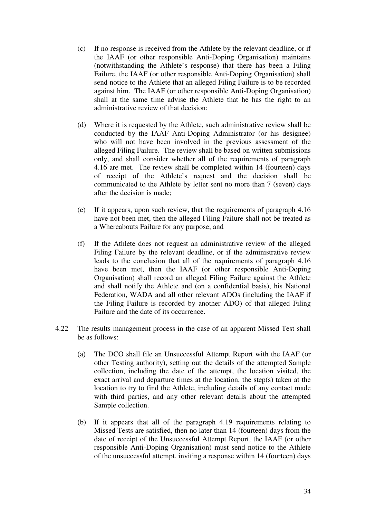- (c) If no response is received from the Athlete by the relevant deadline, or if the IAAF (or other responsible Anti-Doping Organisation) maintains (notwithstanding the Athlete's response) that there has been a Filing Failure, the IAAF (or other responsible Anti-Doping Organisation) shall send notice to the Athlete that an alleged Filing Failure is to be recorded against him. The IAAF (or other responsible Anti-Doping Organisation) shall at the same time advise the Athlete that he has the right to an administrative review of that decision;
- (d) Where it is requested by the Athlete, such administrative review shall be conducted by the IAAF Anti-Doping Administrator (or his designee) who will not have been involved in the previous assessment of the alleged Filing Failure. The review shall be based on written submissions only, and shall consider whether all of the requirements of paragraph 4.16 are met. The review shall be completed within 14 (fourteen) days of receipt of the Athlete's request and the decision shall be communicated to the Athlete by letter sent no more than 7 (seven) days after the decision is made;
- (e) If it appears, upon such review, that the requirements of paragraph 4.16 have not been met, then the alleged Filing Failure shall not be treated as a Whereabouts Failure for any purpose; and
- (f) If the Athlete does not request an administrative review of the alleged Filing Failure by the relevant deadline, or if the administrative review leads to the conclusion that all of the requirements of paragraph 4.16 have been met, then the IAAF (or other responsible Anti-Doping Organisation) shall record an alleged Filing Failure against the Athlete and shall notify the Athlete and (on a confidential basis), his National Federation, WADA and all other relevant ADOs (including the IAAF if the Filing Failure is recorded by another ADO) of that alleged Filing Failure and the date of its occurrence.
- 4.22 The results management process in the case of an apparent Missed Test shall be as follows:
	- (a) The DCO shall file an Unsuccessful Attempt Report with the IAAF (or other Testing authority), setting out the details of the attempted Sample collection, including the date of the attempt, the location visited, the exact arrival and departure times at the location, the step(s) taken at the location to try to find the Athlete, including details of any contact made with third parties, and any other relevant details about the attempted Sample collection.
	- (b) If it appears that all of the paragraph 4.19 requirements relating to Missed Tests are satisfied, then no later than 14 (fourteen) days from the date of receipt of the Unsuccessful Attempt Report, the IAAF (or other responsible Anti-Doping Organisation) must send notice to the Athlete of the unsuccessful attempt, inviting a response within 14 (fourteen) days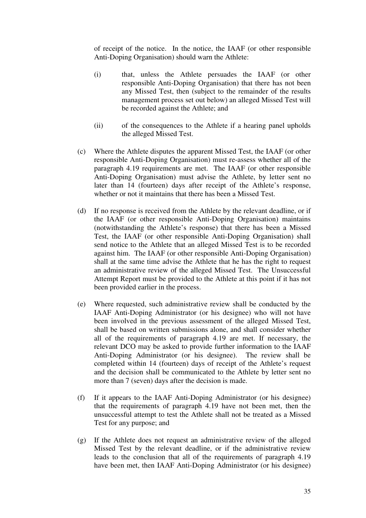of receipt of the notice. In the notice, the IAAF (or other responsible Anti-Doping Organisation) should warn the Athlete:

- (i) that, unless the Athlete persuades the IAAF (or other responsible Anti-Doping Organisation) that there has not been any Missed Test, then (subject to the remainder of the results management process set out below) an alleged Missed Test will be recorded against the Athlete; and
- (ii) of the consequences to the Athlete if a hearing panel upholds the alleged Missed Test.
- (c) Where the Athlete disputes the apparent Missed Test, the IAAF (or other responsible Anti-Doping Organisation) must re-assess whether all of the paragraph 4.19 requirements are met. The IAAF (or other responsible Anti-Doping Organisation) must advise the Athlete, by letter sent no later than 14 (fourteen) days after receipt of the Athlete's response, whether or not it maintains that there has been a Missed Test.
- (d) If no response is received from the Athlete by the relevant deadline, or if the IAAF (or other responsible Anti-Doping Organisation) maintains (notwithstanding the Athlete's response) that there has been a Missed Test, the IAAF (or other responsible Anti-Doping Organisation) shall send notice to the Athlete that an alleged Missed Test is to be recorded against him. The IAAF (or other responsible Anti-Doping Organisation) shall at the same time advise the Athlete that he has the right to request an administrative review of the alleged Missed Test. The Unsuccessful Attempt Report must be provided to the Athlete at this point if it has not been provided earlier in the process.
- (e) Where requested, such administrative review shall be conducted by the IAAF Anti-Doping Administrator (or his designee) who will not have been involved in the previous assessment of the alleged Missed Test, shall be based on written submissions alone, and shall consider whether all of the requirements of paragraph 4.19 are met. If necessary, the relevant DCO may be asked to provide further information to the IAAF Anti-Doping Administrator (or his designee). The review shall be completed within 14 (fourteen) days of receipt of the Athlete's request and the decision shall be communicated to the Athlete by letter sent no more than 7 (seven) days after the decision is made.
- (f) If it appears to the IAAF Anti-Doping Administrator (or his designee) that the requirements of paragraph 4.19 have not been met, then the unsuccessful attempt to test the Athlete shall not be treated as a Missed Test for any purpose; and
- (g) If the Athlete does not request an administrative review of the alleged Missed Test by the relevant deadline, or if the administrative review leads to the conclusion that all of the requirements of paragraph 4.19 have been met, then IAAF Anti-Doping Administrator (or his designee)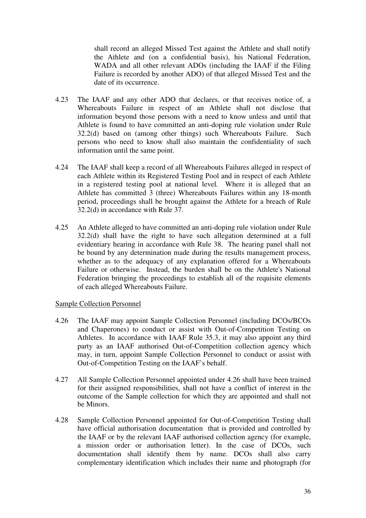shall record an alleged Missed Test against the Athlete and shall notify the Athlete and (on a confidential basis), his National Federation, WADA and all other relevant ADOs (including the IAAF if the Filing Failure is recorded by another ADO) of that alleged Missed Test and the date of its occurrence.

- 4.23 The IAAF and any other ADO that declares, or that receives notice of, a Whereabouts Failure in respect of an Athlete shall not disclose that information beyond those persons with a need to know unless and until that Athlete is found to have committed an anti-doping rule violation under Rule 32.2(d) based on (among other things) such Whereabouts Failure. Such persons who need to know shall also maintain the confidentiality of such information until the same point.
- 4.24 The IAAF shall keep a record of all Whereabouts Failures alleged in respect of each Athlete within its Registered Testing Pool and in respect of each Athlete in a registered testing pool at national level*.* Where it is alleged that an Athlete has committed 3 (three) Whereabouts Failures within any 18-month period, proceedings shall be brought against the Athlete for a breach of Rule 32.2(d) in accordance with Rule 37.
- 4.25 An Athlete alleged to have committed an anti-doping rule violation under Rule 32.2(d) shall have the right to have such allegation determined at a full evidentiary hearing in accordance with Rule 38. The hearing panel shall not be bound by any determination made during the results management process, whether as to the adequacy of any explanation offered for a Whereabouts Failure or otherwise. Instead, the burden shall be on the Athlete's National Federation bringing the proceedings to establish all of the requisite elements of each alleged Whereabouts Failure.

#### Sample Collection Personnel

- 4.26 The IAAF may appoint Sample Collection Personnel (including DCOs/BCOs and Chaperones) to conduct or assist with Out-of-Competition Testing on Athletes. In accordance with IAAF Rule 35.3, it may also appoint any third party as an IAAF authorised Out-of-Competition collection agency which may, in turn, appoint Sample Collection Personnel to conduct or assist with Out-of-Competition Testing on the IAAF's behalf.
- 4.27 All Sample Collection Personnel appointed under 4.26 shall have been trained for their assigned responsibilities, shall not have a conflict of interest in the outcome of the Sample collection for which they are appointed and shall not be Minors.
- 4.28 Sample Collection Personnel appointed for Out-of-Competition Testing shall have official authorisation documentation that is provided and controlled by the IAAF or by the relevant IAAF authorised collection agency (for example, a mission order or authorisation letter). In the case of DCOs, such documentation shall identify them by name. DCOs shall also carry complementary identification which includes their name and photograph (for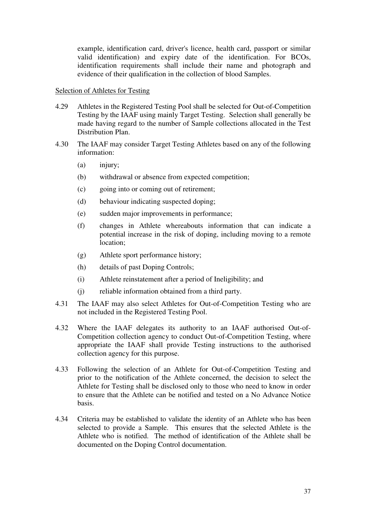example, identification card, driver's licence, health card, passport or similar valid identification) and expiry date of the identification. For BCOs, identification requirements shall include their name and photograph and evidence of their qualification in the collection of blood Samples.

#### Selection of Athletes for Testing

- 4.29 Athletes in the Registered Testing Pool shall be selected for Out-of-Competition Testing by the IAAF using mainly Target Testing. Selection shall generally be made having regard to the number of Sample collections allocated in the Test Distribution Plan.
- 4.30 The IAAF may consider Target Testing Athletes based on any of the following information:
	- (a) injury;
	- (b) withdrawal or absence from expected competition;
	- (c) going into or coming out of retirement;
	- (d) behaviour indicating suspected doping;
	- (e) sudden major improvements in performance;
	- (f) changes in Athlete whereabouts information that can indicate a potential increase in the risk of doping, including moving to a remote location;
	- (g) Athlete sport performance history;
	- (h) details of past Doping Controls;
	- (i) Athlete reinstatement after a period of Ineligibility; and
	- (j) reliable information obtained from a third party.
- 4.31 The IAAF may also select Athletes for Out-of-Competition Testing who are not included in the Registered Testing Pool.
- 4.32 Where the IAAF delegates its authority to an IAAF authorised Out-of-Competition collection agency to conduct Out-of-Competition Testing, where appropriate the IAAF shall provide Testing instructions to the authorised collection agency for this purpose.
- 4.33 Following the selection of an Athlete for Out-of-Competition Testing and prior to the notification of the Athlete concerned, the decision to select the Athlete for Testing shall be disclosed only to those who need to know in order to ensure that the Athlete can be notified and tested on a No Advance Notice basis.
- 4.34 Criteria may be established to validate the identity of an Athlete who has been selected to provide a Sample. This ensures that the selected Athlete is the Athlete who is notified. The method of identification of the Athlete shall be documented on the Doping Control documentation.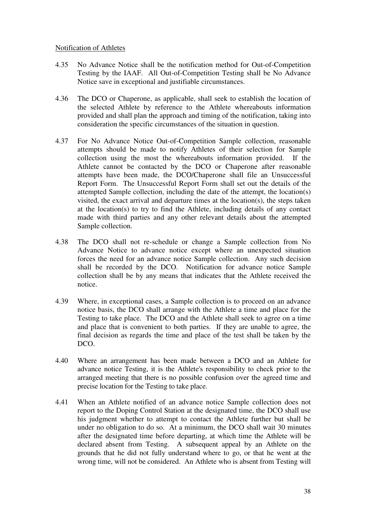### Notification of Athletes

- 4.35 No Advance Notice shall be the notification method for Out-of-Competition Testing by the IAAF. All Out-of-Competition Testing shall be No Advance Notice save in exceptional and justifiable circumstances.
- 4.36 The DCO or Chaperone, as applicable, shall seek to establish the location of the selected Athlete by reference to the Athlete whereabouts information provided and shall plan the approach and timing of the notification, taking into consideration the specific circumstances of the situation in question.
- 4.37 For No Advance Notice Out-of-Competition Sample collection, reasonable attempts should be made to notify Athletes of their selection for Sample collection using the most the whereabouts information provided. If the Athlete cannot be contacted by the DCO or Chaperone after reasonable attempts have been made, the DCO/Chaperone shall file an Unsuccessful Report Form. The Unsuccessful Report Form shall set out the details of the attempted Sample collection, including the date of the attempt, the location(s) visited, the exact arrival and departure times at the location(s), the steps taken at the location(s) to try to find the Athlete, including details of any contact made with third parties and any other relevant details about the attempted Sample collection.
- 4.38 The DCO shall not re-schedule or change a Sample collection from No Advance Notice to advance notice except where an unexpected situation forces the need for an advance notice Sample collection. Any such decision shall be recorded by the DCO. Notification for advance notice Sample collection shall be by any means that indicates that the Athlete received the notice.
- 4.39 Where, in exceptional cases, a Sample collection is to proceed on an advance notice basis, the DCO shall arrange with the Athlete a time and place for the Testing to take place. The DCO and the Athlete shall seek to agree on a time and place that is convenient to both parties. If they are unable to agree, the final decision as regards the time and place of the test shall be taken by the DCO.
- 4.40 Where an arrangement has been made between a DCO and an Athlete for advance notice Testing, it is the Athlete's responsibility to check prior to the arranged meeting that there is no possible confusion over the agreed time and precise location for the Testing to take place.
- 4.41 When an Athlete notified of an advance notice Sample collection does not report to the Doping Control Station at the designated time, the DCO shall use his judgment whether to attempt to contact the Athlete further but shall be under no obligation to do so. At a minimum, the DCO shall wait 30 minutes after the designated time before departing, at which time the Athlete will be declared absent from Testing. A subsequent appeal by an Athlete on the grounds that he did not fully understand where to go, or that he went at the wrong time, will not be considered. An Athlete who is absent from Testing will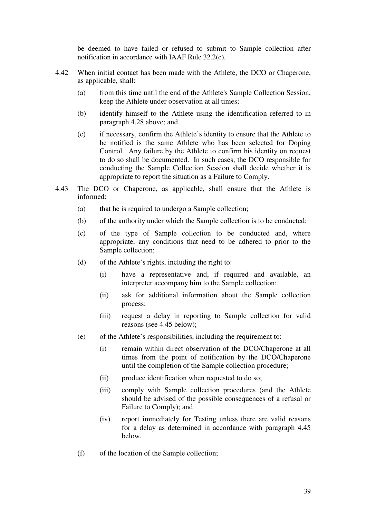be deemed to have failed or refused to submit to Sample collection after notification in accordance with IAAF Rule 32.2(c).

- 4.42 When initial contact has been made with the Athlete, the DCO or Chaperone, as applicable, shall:
	- (a) from this time until the end of the Athlete's Sample Collection Session, keep the Athlete under observation at all times;
	- (b) identify himself to the Athlete using the identification referred to in paragraph 4.28 above; and
	- (c) if necessary, confirm the Athlete's identity to ensure that the Athlete to be notified is the same Athlete who has been selected for Doping Control. Any failure by the Athlete to confirm his identity on request to do so shall be documented. In such cases, the DCO responsible for conducting the Sample Collection Session shall decide whether it is appropriate to report the situation as a Failure to Comply.
- 4.43 The DCO or Chaperone, as applicable, shall ensure that the Athlete is informed:
	- (a) that he is required to undergo a Sample collection;
	- (b) of the authority under which the Sample collection is to be conducted;
	- (c) of the type of Sample collection to be conducted and, where appropriate, any conditions that need to be adhered to prior to the Sample collection;
	- (d) of the Athlete's rights, including the right to:
		- (i) have a representative and, if required and available, an interpreter accompany him to the Sample collection;
		- (ii) ask for additional information about the Sample collection process;
		- (iii) request a delay in reporting to Sample collection for valid reasons (see 4.45 below);
	- (e) of the Athlete's responsibilities, including the requirement to:
		- (i) remain within direct observation of the DCO/Chaperone at all times from the point of notification by the DCO/Chaperone until the completion of the Sample collection procedure;
		- (ii) produce identification when requested to do so;
		- (iii) comply with Sample collection procedures (and the Athlete should be advised of the possible consequences of a refusal or Failure to Comply); and
		- (iv) report immediately for Testing unless there are valid reasons for a delay as determined in accordance with paragraph 4.45 below.
	- (f) of the location of the Sample collection;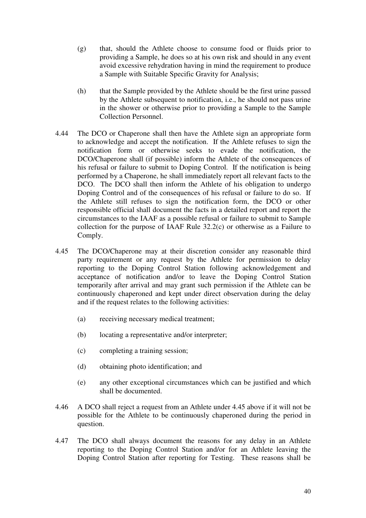- (g) that, should the Athlete choose to consume food or fluids prior to providing a Sample, he does so at his own risk and should in any event avoid excessive rehydration having in mind the requirement to produce a Sample with Suitable Specific Gravity for Analysis;
- (h) that the Sample provided by the Athlete should be the first urine passed by the Athlete subsequent to notification, i.e., he should not pass urine in the shower or otherwise prior to providing a Sample to the Sample Collection Personnel.
- 4.44 The DCO or Chaperone shall then have the Athlete sign an appropriate form to acknowledge and accept the notification. If the Athlete refuses to sign the notification form or otherwise seeks to evade the notification, the DCO/Chaperone shall (if possible) inform the Athlete of the consequences of his refusal or failure to submit to Doping Control. If the notification is being performed by a Chaperone, he shall immediately report all relevant facts to the DCO. The DCO shall then inform the Athlete of his obligation to undergo Doping Control and of the consequences of his refusal or failure to do so. If the Athlete still refuses to sign the notification form, the DCO or other responsible official shall document the facts in a detailed report and report the circumstances to the IAAF as a possible refusal or failure to submit to Sample collection for the purpose of IAAF Rule 32.2(c) or otherwise as a Failure to Comply.
- 4.45 The DCO/Chaperone may at their discretion consider any reasonable third party requirement or any request by the Athlete for permission to delay reporting to the Doping Control Station following acknowledgement and acceptance of notification and/or to leave the Doping Control Station temporarily after arrival and may grant such permission if the Athlete can be continuously chaperoned and kept under direct observation during the delay and if the request relates to the following activities:
	- (a) receiving necessary medical treatment;
	- (b) locating a representative and/or interpreter;
	- (c) completing a training session;
	- (d) obtaining photo identification; and
	- (e) any other exceptional circumstances which can be justified and which shall be documented.
- 4.46 A DCO shall reject a request from an Athlete under 4.45 above if it will not be possible for the Athlete to be continuously chaperoned during the period in question.
- 4.47 The DCO shall always document the reasons for any delay in an Athlete reporting to the Doping Control Station and/or for an Athlete leaving the Doping Control Station after reporting for Testing. These reasons shall be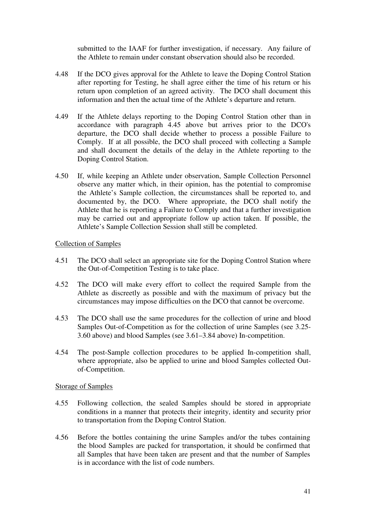submitted to the IAAF for further investigation, if necessary. Any failure of the Athlete to remain under constant observation should also be recorded.

- 4.48 If the DCO gives approval for the Athlete to leave the Doping Control Station after reporting for Testing, he shall agree either the time of his return or his return upon completion of an agreed activity. The DCO shall document this information and then the actual time of the Athlete's departure and return.
- 4.49 If the Athlete delays reporting to the Doping Control Station other than in accordance with paragraph 4.45 above but arrives prior to the DCO's departure, the DCO shall decide whether to process a possible Failure to Comply. If at all possible, the DCO shall proceed with collecting a Sample and shall document the details of the delay in the Athlete reporting to the Doping Control Station.
- 4.50 If, while keeping an Athlete under observation, Sample Collection Personnel observe any matter which, in their opinion, has the potential to compromise the Athlete's Sample collection, the circumstances shall be reported to, and documented by, the DCO. Where appropriate, the DCO shall notify the Athlete that he is reporting a Failure to Comply and that a further investigation may be carried out and appropriate follow up action taken. If possible, the Athlete's Sample Collection Session shall still be completed.

#### Collection of Samples

- 4.51 The DCO shall select an appropriate site for the Doping Control Station where the Out-of-Competition Testing is to take place.
- 4.52 The DCO will make every effort to collect the required Sample from the Athlete as discreetly as possible and with the maximum of privacy but the circumstances may impose difficulties on the DCO that cannot be overcome.
- 4.53 The DCO shall use the same procedures for the collection of urine and blood Samples Out-of-Competition as for the collection of urine Samples (see 3.25- 3.60 above) and blood Samples (see 3.61–3.84 above) In-competition.
- 4.54 The post-Sample collection procedures to be applied In-competition shall, where appropriate, also be applied to urine and blood Samples collected Outof-Competition.

#### Storage of Samples

- 4.55 Following collection, the sealed Samples should be stored in appropriate conditions in a manner that protects their integrity, identity and security prior to transportation from the Doping Control Station.
- 4.56 Before the bottles containing the urine Samples and/or the tubes containing the blood Samples are packed for transportation, it should be confirmed that all Samples that have been taken are present and that the number of Samples is in accordance with the list of code numbers.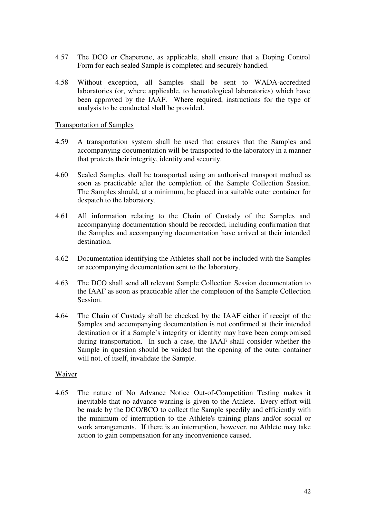- 4.57 The DCO or Chaperone, as applicable, shall ensure that a Doping Control Form for each sealed Sample is completed and securely handled.
- 4.58 Without exception, all Samples shall be sent to WADA-accredited laboratories (or, where applicable, to hematological laboratories) which have been approved by the IAAF. Where required, instructions for the type of analysis to be conducted shall be provided.

#### Transportation of Samples

- 4.59 A transportation system shall be used that ensures that the Samples and accompanying documentation will be transported to the laboratory in a manner that protects their integrity, identity and security.
- 4.60 Sealed Samples shall be transported using an authorised transport method as soon as practicable after the completion of the Sample Collection Session. The Samples should, at a minimum, be placed in a suitable outer container for despatch to the laboratory.
- 4.61 All information relating to the Chain of Custody of the Samples and accompanying documentation should be recorded, including confirmation that the Samples and accompanying documentation have arrived at their intended destination.
- 4.62 Documentation identifying the Athletes shall not be included with the Samples or accompanying documentation sent to the laboratory.
- 4.63 The DCO shall send all relevant Sample Collection Session documentation to the IAAF as soon as practicable after the completion of the Sample Collection Session.
- 4.64 The Chain of Custody shall be checked by the IAAF either if receipt of the Samples and accompanying documentation is not confirmed at their intended destination or if a Sample's integrity or identity may have been compromised during transportation. In such a case, the IAAF shall consider whether the Sample in question should be voided but the opening of the outer container will not, of itself, invalidate the Sample.

#### Waiver

4.65 The nature of No Advance Notice Out-of-Competition Testing makes it inevitable that no advance warning is given to the Athlete. Every effort will be made by the DCO/BCO to collect the Sample speedily and efficiently with the minimum of interruption to the Athlete's training plans and/or social or work arrangements. If there is an interruption, however, no Athlete may take action to gain compensation for any inconvenience caused.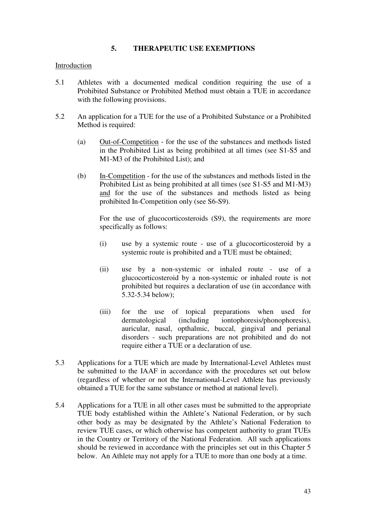# **5. THERAPEUTIC USE EXEMPTIONS**

#### Introduction

- 5.1 Athletes with a documented medical condition requiring the use of a Prohibited Substance or Prohibited Method must obtain a TUE in accordance with the following provisions.
- 5.2 An application for a TUE for the use of a Prohibited Substance or a Prohibited Method is required:
	- (a) Out-of-Competition for the use of the substances and methods listed in the Prohibited List as being prohibited at all times (see S1-S5 and M1-M3 of the Prohibited List); and
	- (b) In-Competition for the use of the substances and methods listed in the Prohibited List as being prohibited at all times (see S1-S5 and M1-M3) and for the use of the substances and methods listed as being prohibited In-Competition only (see S6-S9).

 For the use of glucocorticosteroids (S9), the requirements are more specifically as follows:

- (i) use by a systemic route use of a glucocorticosteroid by a systemic route is prohibited and a TUE must be obtained;
- (ii) use by a non-systemic or inhaled route use of a glucocorticosteroid by a non-systemic or inhaled route is not prohibited but requires a declaration of use (in accordance with 5.32-5.34 below);
- (iii) for the use of topical preparations when used for dermatological (including iontophoresis/phonophoresis), auricular, nasal, opthalmic, buccal, gingival and perianal disorders - such preparations are not prohibited and do not require either a TUE or a declaration of use.
- 5.3 Applications for a TUE which are made by International-Level Athletes must be submitted to the IAAF in accordance with the procedures set out below (regardless of whether or not the International-Level Athlete has previously obtained a TUE for the same substance or method at national level).
- 5.4 Applications for a TUE in all other cases must be submitted to the appropriate TUE body established within the Athlete's National Federation, or by such other body as may be designated by the Athlete's National Federation to review TUE cases, or which otherwise has competent authority to grant TUEs in the Country or Territory of the National Federation. All such applications should be reviewed in accordance with the principles set out in this Chapter 5 below. An Athlete may not apply for a TUE to more than one body at a time.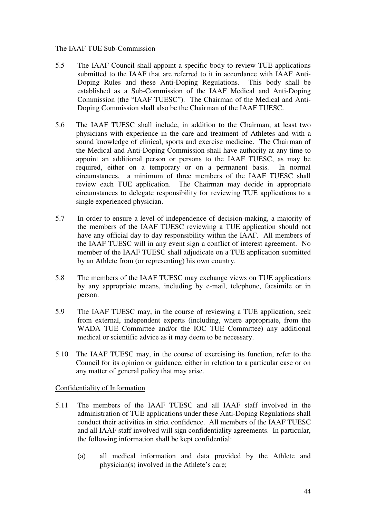#### The IAAF TUE Sub-Commission

- 5.5 The IAAF Council shall appoint a specific body to review TUE applications submitted to the IAAF that are referred to it in accordance with IAAF Anti-Doping Rules and these Anti-Doping Regulations. This body shall be established as a Sub-Commission of the IAAF Medical and Anti-Doping Commission (the "IAAF TUESC"). The Chairman of the Medical and Anti-Doping Commission shall also be the Chairman of the IAAF TUESC.
- 5.6 The IAAF TUESC shall include, in addition to the Chairman, at least two physicians with experience in the care and treatment of Athletes and with a sound knowledge of clinical, sports and exercise medicine. The Chairman of the Medical and Anti-Doping Commission shall have authority at any time to appoint an additional person or persons to the IAAF TUESC, as may be required, either on a temporary or on a permanent basis. In normal circumstances, a minimum of three members of the IAAF TUESC shall review each TUE application. The Chairman may decide in appropriate circumstances to delegate responsibility for reviewing TUE applications to a single experienced physician.
- 5.7 In order to ensure a level of independence of decision-making, a majority of the members of the IAAF TUESC reviewing a TUE application should not have any official day to day responsibility within the IAAF. All members of the IAAF TUESC will in any event sign a conflict of interest agreement. No member of the IAAF TUESC shall adjudicate on a TUE application submitted by an Athlete from (or representing) his own country.
- 5.8 The members of the IAAF TUESC may exchange views on TUE applications by any appropriate means, including by e-mail, telephone, facsimile or in person.
- 5.9 The IAAF TUESC may, in the course of reviewing a TUE application, seek from external, independent experts (including, where appropriate, from the WADA TUE Committee and/or the IOC TUE Committee) any additional medical or scientific advice as it may deem to be necessary.
- 5.10 The IAAF TUESC may, in the course of exercising its function, refer to the Council for its opinion or guidance, either in relation to a particular case or on any matter of general policy that may arise.

# Confidentiality of Information

- 5.11 The members of the IAAF TUESC and all IAAF staff involved in the administration of TUE applications under these Anti-Doping Regulations shall conduct their activities in strict confidence. All members of the IAAF TUESC and all IAAF staff involved will sign confidentiality agreements. In particular, the following information shall be kept confidential:
	- (a) all medical information and data provided by the Athlete and physician(s) involved in the Athlete's care;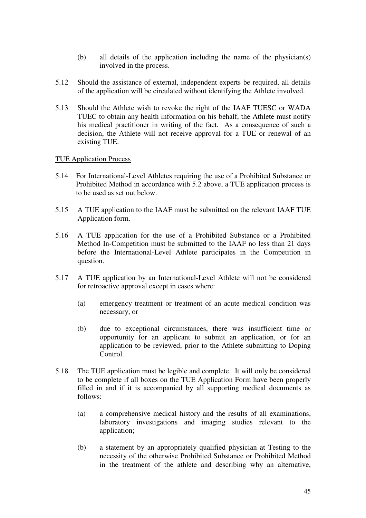- (b) all details of the application including the name of the physician(s) involved in the process.
- 5.12 Should the assistance of external, independent experts be required, all details of the application will be circulated without identifying the Athlete involved.
- 5.13 Should the Athlete wish to revoke the right of the IAAF TUESC or WADA TUEC to obtain any health information on his behalf, the Athlete must notify his medical practitioner in writing of the fact. As a consequence of such a decision, the Athlete will not receive approval for a TUE or renewal of an existing TUE.

#### TUE Application Process

- 5.14 For International-Level Athletes requiring the use of a Prohibited Substance or Prohibited Method in accordance with 5.2 above, a TUE application process is to be used as set out below.
- 5.15 A TUE application to the IAAF must be submitted on the relevant IAAF TUE Application form.
- 5.16 A TUE application for the use of a Prohibited Substance or a Prohibited Method In-Competition must be submitted to the IAAF no less than 21 days before the International-Level Athlete participates in the Competition in question.
- 5.17 A TUE application by an International-Level Athlete will not be considered for retroactive approval except in cases where:
	- (a) emergency treatment or treatment of an acute medical condition was necessary, or
	- (b) due to exceptional circumstances, there was insufficient time or opportunity for an applicant to submit an application, or for an application to be reviewed, prior to the Athlete submitting to Doping Control.
- 5.18 The TUE application must be legible and complete. It will only be considered to be complete if all boxes on the TUE Application Form have been properly filled in and if it is accompanied by all supporting medical documents as follows:
	- (a) a comprehensive medical history and the results of all examinations, laboratory investigations and imaging studies relevant to the application;
	- (b) a statement by an appropriately qualified physician at Testing to the necessity of the otherwise Prohibited Substance or Prohibited Method in the treatment of the athlete and describing why an alternative,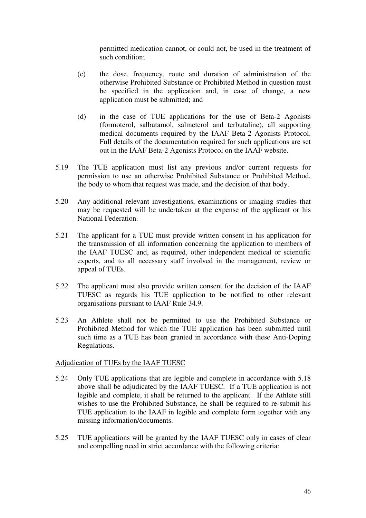permitted medication cannot, or could not, be used in the treatment of such condition;

- (c) the dose, frequency, route and duration of administration of the otherwise Prohibited Substance or Prohibited Method in question must be specified in the application and, in case of change, a new application must be submitted; and
- (d) in the case of TUE applications for the use of Beta-2 Agonists (formoterol, salbutamol, salmeterol and terbutaline), all supporting medical documents required by the IAAF Beta-2 Agonists Protocol. Full details of the documentation required for such applications are set out in the IAAF Beta-2 Agonists Protocol on the IAAF website.
- 5.19 The TUE application must list any previous and/or current requests for permission to use an otherwise Prohibited Substance or Prohibited Method, the body to whom that request was made, and the decision of that body.
- 5.20 Any additional relevant investigations, examinations or imaging studies that may be requested will be undertaken at the expense of the applicant or his National Federation.
- 5.21 The applicant for a TUE must provide written consent in his application for the transmission of all information concerning the application to members of the IAAF TUESC and, as required, other independent medical or scientific experts, and to all necessary staff involved in the management, review or appeal of TUEs.
- 5.22 The applicant must also provide written consent for the decision of the IAAF TUESC as regards his TUE application to be notified to other relevant organisations pursuant to IAAF Rule 34.9.
- 5.23 An Athlete shall not be permitted to use the Prohibited Substance or Prohibited Method for which the TUE application has been submitted until such time as a TUE has been granted in accordance with these Anti-Doping Regulations.

#### Adjudication of TUEs by the IAAF TUESC

- 5.24 Only TUE applications that are legible and complete in accordance with 5.18 above shall be adjudicated by the IAAF TUESC. If a TUE application is not legible and complete, it shall be returned to the applicant. If the Athlete still wishes to use the Prohibited Substance, he shall be required to re-submit his TUE application to the IAAF in legible and complete form together with any missing information/documents.
- 5.25 TUE applications will be granted by the IAAF TUESC only in cases of clear and compelling need in strict accordance with the following criteria: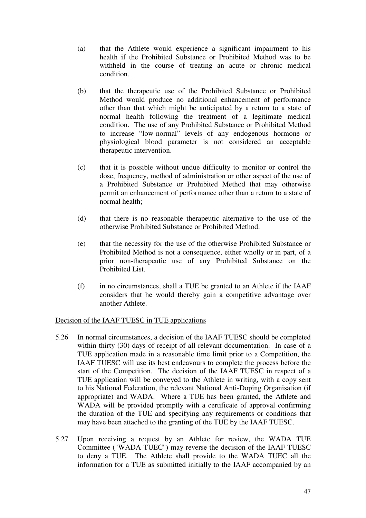- (a) that the Athlete would experience a significant impairment to his health if the Prohibited Substance or Prohibited Method was to be withheld in the course of treating an acute or chronic medical condition.
- (b) that the therapeutic use of the Prohibited Substance or Prohibited Method would produce no additional enhancement of performance other than that which might be anticipated by a return to a state of normal health following the treatment of a legitimate medical condition. The use of any Prohibited Substance or Prohibited Method to increase "low-normal" levels of any endogenous hormone or physiological blood parameter is not considered an acceptable therapeutic intervention.
- (c) that it is possible without undue difficulty to monitor or control the dose, frequency, method of administration or other aspect of the use of a Prohibited Substance or Prohibited Method that may otherwise permit an enhancement of performance other than a return to a state of normal health;
- (d) that there is no reasonable therapeutic alternative to the use of the otherwise Prohibited Substance or Prohibited Method.
- (e) that the necessity for the use of the otherwise Prohibited Substance or Prohibited Method is not a consequence, either wholly or in part, of a prior non-therapeutic use of any Prohibited Substance on the Prohibited List.
- (f) in no circumstances, shall a TUE be granted to an Athlete if the IAAF considers that he would thereby gain a competitive advantage over another Athlete.

# Decision of the IAAF TUESC in TUE applications

- 5.26 In normal circumstances, a decision of the IAAF TUESC should be completed within thirty (30) days of receipt of all relevant documentation. In case of a TUE application made in a reasonable time limit prior to a Competition, the IAAF TUESC will use its best endeavours to complete the process before the start of the Competition. The decision of the IAAF TUESC in respect of a TUE application will be conveyed to the Athlete in writing, with a copy sent to his National Federation, the relevant National Anti-Doping Organisation (if appropriate) and WADA. Where a TUE has been granted, the Athlete and WADA will be provided promptly with a certificate of approval confirming the duration of the TUE and specifying any requirements or conditions that may have been attached to the granting of the TUE by the IAAF TUESC.
- 5.27 Upon receiving a request by an Athlete for review, the WADA TUE Committee ("WADA TUEC") may reverse the decision of the IAAF TUESC to deny a TUE. The Athlete shall provide to the WADA TUEC all the information for a TUE as submitted initially to the IAAF accompanied by an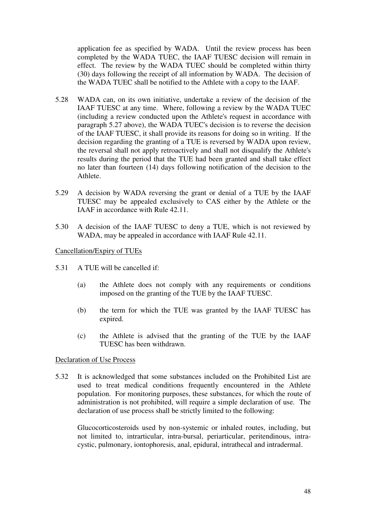application fee as specified by WADA. Until the review process has been completed by the WADA TUEC, the IAAF TUESC decision will remain in effect. The review by the WADA TUEC should be completed within thirty (30) days following the receipt of all information by WADA. The decision of the WADA TUEC shall be notified to the Athlete with a copy to the IAAF.

- 5.28 WADA can, on its own initiative, undertake a review of the decision of the IAAF TUESC at any time. Where, following a review by the WADA TUEC (including a review conducted upon the Athlete's request in accordance with paragraph 5.27 above), the WADA TUEC's decision is to reverse the decision of the IAAF TUESC, it shall provide its reasons for doing so in writing. If the decision regarding the granting of a TUE is reversed by WADA upon review, the reversal shall not apply retroactively and shall not disqualify the Athlete's results during the period that the TUE had been granted and shall take effect no later than fourteen (14) days following notification of the decision to the Athlete.
- 5.29 A decision by WADA reversing the grant or denial of a TUE by the IAAF TUESC may be appealed exclusively to CAS either by the Athlete or the IAAF in accordance with Rule 42.11.
- 5.30 A decision of the IAAF TUESC to deny a TUE, which is not reviewed by WADA, may be appealed in accordance with IAAF Rule 42.11.

#### Cancellation/Expiry of TUEs

- 5.31 A TUE will be cancelled if:
	- (a) the Athlete does not comply with any requirements or conditions imposed on the granting of the TUE by the IAAF TUESC.
	- (b) the term for which the TUE was granted by the IAAF TUESC has expired.
	- (c) the Athlete is advised that the granting of the TUE by the IAAF TUESC has been withdrawn.

#### Declaration of Use Process

5.32 It is acknowledged that some substances included on the Prohibited List are used to treat medical conditions frequently encountered in the Athlete population. For monitoring purposes, these substances, for which the route of administration is not prohibited, will require a simple declaration of use. The declaration of use process shall be strictly limited to the following:

Glucocorticosteroids used by non-systemic or inhaled routes, including, but not limited to, intrarticular, intra-bursal, periarticular, peritendinous, intracystic, pulmonary, iontophoresis, anal, epidural, intrathecal and intradermal.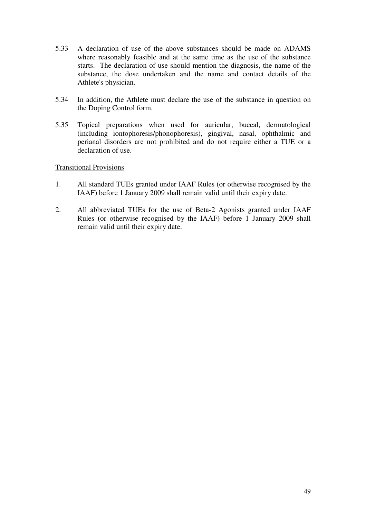- 5.33 A declaration of use of the above substances should be made on ADAMS where reasonably feasible and at the same time as the use of the substance starts. The declaration of use should mention the diagnosis, the name of the substance, the dose undertaken and the name and contact details of the Athlete's physician.
- 5.34 In addition, the Athlete must declare the use of the substance in question on the Doping Control form.
- 5.35 Topical preparations when used for auricular, buccal, dermatological (including iontophoresis/phonophoresis), gingival, nasal, ophthalmic and perianal disorders are not prohibited and do not require either a TUE or a declaration of use.

# Transitional Provisions

- 1. All standard TUEs granted under IAAF Rules (or otherwise recognised by the IAAF) before 1 January 2009 shall remain valid until their expiry date.
- 2. All abbreviated TUEs for the use of Beta-2 Agonists granted under IAAF Rules (or otherwise recognised by the IAAF) before 1 January 2009 shall remain valid until their expiry date.